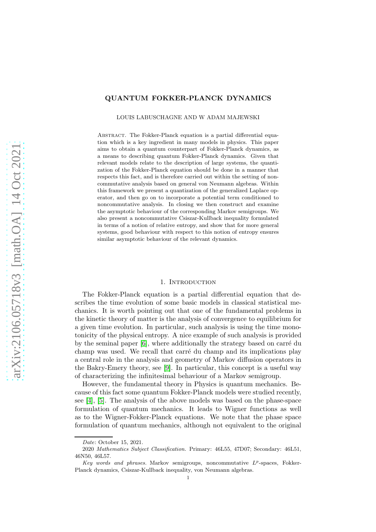### QUANTUM FOKKER-PLANCK DYNAMICS

LOUIS LABUSCHAGNE AND W ADAM MAJEWSKI

ABSTRACT. The Fokker-Planck equation is a partial differential equation which is a key ingredient in many models in physics. This paper aims to obtain a quantum counterpart of Fokker-Planck dynamics, as a means to describing quantum Fokker-Planck dynamics. Given that relevant models relate to the description of large systems, the quantization of the Fokker-Planck equation should be done in a manner that respects this fact, and is therefore carried out within the setting of noncommutative analysis based on general von Neumann algebras. Within this framework we present a quantization of the generalized Laplace operator, and then go on to incorporate a potential term conditioned to noncommutative analysis. In closing we then construct and examine the asymptotic behaviour of the corresponding Markov semigroups. We also present a noncommutative Csiszar-Kullback inequality formulated in terms of a notion of relative entropy, and show that for more general systems, good behaviour with respect to this notion of entropy ensures similar asymptotic behaviour of the relevant dynamics.

### 1. INTRODUCTION

The Fokker-Planck equation is a partial differential equation that describes the time evolution of some basic models in classical statistical mechanics. It is worth pointing out that one of the fundamental problems in the kinetic theory of matter is the analysis of convergence to equilibrium for a given time evolution. In particular, such analysis is using the time monotonicity of the physical entropy. A nice example of such analysis is provided by the seminal paper  $[6]$ , where additionally the strategy based on carré du champ was used. We recall that carré du champ and its implications play a central role in the analysis and geometry of Markov diffusion operators in the Bakry-Emery theory, see [\[9\]](#page-29-1). In particular, this concept is a useful way of characterizing the infinitesimal behaviour of a Markov semigroup.

However, the fundamental theory in Physics is quantum mechanics. Because of this fact some quantum Fokker-Planck models were studied recently, see [\[4\]](#page-29-2), [\[5\]](#page-29-3). The analysis of the above models was based on the phase-space formulation of quantum mechanics. It leads to Wigner functions as well as to the Wigner-Fokker-Planck equations. We note that the phase space formulation of quantum mechanics, although not equivalent to the original

Date: October 15, 2021.

<sup>2020</sup> Mathematics Subject Classification. Primary: 46L55, 47D07; Secondary: 46L51, 46N50, 46L57.

Key words and phrases. Markov semigroups, noncommutative  $L^p$ -spaces, Fokker-Planck dynamics, Csiszar-Kullback inequality, von Neumann algebras.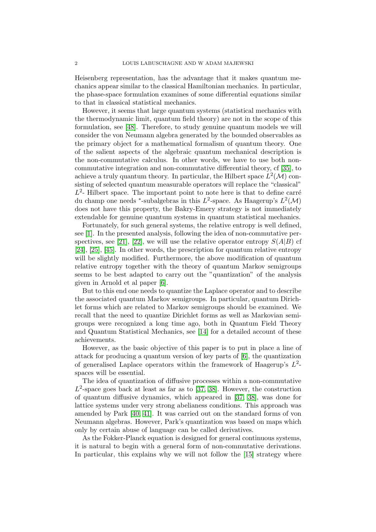Heisenberg representation, has the advantage that it makes quantum mechanics appear similar to the classical Hamiltonian mechanics. In particular, the phase-space formulation examines of some differential equations similar to that in classical statistical mechanics.

However, it seems that large quantum systems (statistical mechanics with the thermodynamic limit, quantum field theory) are not in the scope of this formulation, see [\[48\]](#page-31-0). Therefore, to study genuine quantum models we will consider the von Neumann algebra generated by the bounded observables as the primary object for a mathematical formalism of quantum theory. One of the salient aspects of the algebraic quantum mechanical description is the non-commutative calculus. In other words, we have to use both noncommutative integration and non-commutative differential theory, cf [\[35\]](#page-30-0), to achieve a truly quantum theory. In particular, the Hilbert space  $L^2(\mathcal{M})$  consisting of selected quantum measurable operators will replace the "classical"  $L^2$ - Hilbert space. The important point to note here is that to define carré du champ one needs \*-subalgebras in this  $L^2$ -space. As Haagerup's  $L^2(\mathcal{M})$ does not have this property, the Bakry-Emery strategy is not immediately extendable for genuine quantum systems in quantum statistical mechanics.

Fortunately, for such general systems, the relative entropy is well defined, see [\[1\]](#page-29-4). In the presented analysis, following the idea of non-commutative per-spectives, see [\[21\]](#page-30-1), [\[22\]](#page-30-2), we will use the relative operator entropy  $S(A|B)$  cf [\[24\]](#page-30-3), [\[25\]](#page-30-4), [\[45\]](#page-31-1). In other words, the prescription for quantum relative entropy will be slightly modified. Furthermore, the above modification of quantum relative entropy together with the theory of quantum Markov semigroups seems to be best adapted to carry out the "quantization" of the analysis given in Arnold et al paper [\[6\]](#page-29-0).

But to this end one needs to quantize the Laplace operator and to describe the associated quantum Markov semigroups. In particular, quantum Dirichlet forms which are related to Markov semigroups should be examined. We recall that the need to quantize Dirichlet forms as well as Markovian semigroups were recognized a long time ago, both in Quantum Field Theory and Quantum Statistical Mechanics, see [\[14\]](#page-30-5) for a detailed account of these achievements.

However, as the basic objective of this paper is to put in place a line of attack for producing a quantum version of key parts of [\[6\]](#page-29-0), the quantization of generalised Laplace operators within the framework of Haagerup's  $L^2$ spaces will be essential.

The idea of quantization of diffusive processes within a non-commutative  $L^2$ -space goes back at least as far as to [\[37,](#page-30-6) [38\]](#page-30-7). However, the construction of quantum diffusive dynamics, which appeared in [\[37,](#page-30-6) [38\]](#page-30-7), was done for lattice systems under very strong abelianess conditions. This approach was amended by Park [\[40,](#page-31-2) [41\]](#page-31-3). It was carried out on the standard forms of von Neumann algebras. However, Park's quantization was based on maps which only by certain abuse of language can be called derivatives.

As the Fokker-Planck equation is designed for general continuous systems, it is natural to begin with a general form of non-commutative derivations. In particular, this explains why we will not follow the [\[15\]](#page-30-8) strategy where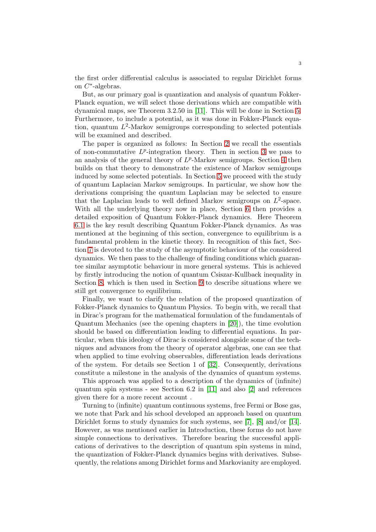the first order differential calculus is associated to regular Dirichlet forms on C ∗ -algebras.

But, as our primary goal is quantization and analysis of quantum Fokker-Planck equation, we will select those derivations which are compatible with dynamical maps, see Theorem 3.2.50 in [\[11\]](#page-30-9). This will be done in Section [5.](#page-9-0) Furthermore, to include a potential, as it was done in Fokker-Planck equation, quantum  $L^2$ -Markov semigroups corresponding to selected potentials will be examined and described.

The paper is organized as follows: In Section [2](#page-3-0) we recall the essentials of non-commutative  $L^p$ -integration theory. Then in section [3](#page-3-1) we pass to an analysis of the general theory of  $L^p$ -Markov semigroups. Section [4](#page-7-0) then builds on that theory to demonstrate the existence of Markov semigroups induced by some selected potentials. In Section [5](#page-9-0) we proceed with the study of quantum Laplacian Markov semigroups. In particular, we show how the derivations comprising the quantum Laplacian may be selected to ensure that the Laplacian leads to well defined Markov semigroups on  $L^2$ -space. With all the underlying theory now in place, Section [6](#page-19-0) then provides a detailed exposition of Quantum Fokker-Planck dynamics. Here Theorem [6.1](#page-19-1) is the key result describing Quantum Fokker-Planck dynamics. As was mentioned at the beginning of this section, convergence to equilibrium is a fundamental problem in the kinetic theory. In recognition of this fact, Section [7](#page-20-0) is devoted to the study of the asymptotic behaviour of the considered dynamics. We then pass to the challenge of finding conditions which guarantee similar asymptotic behaviour in more general systems. This is achieved by firstly introducing the notion of quantum Csiszar-Kullback inequality in Section [8,](#page-23-0) which is then used in Section [9](#page-25-0) to describe situations where we still get convergence to equilibrium.

Finally, we want to clarify the relation of the proposed quantization of Fokker-Planck dynamics to Quantum Physics. To begin with, we recall that in Dirac's program for the mathematical formulation of the fundamentals of Quantum Mechanics (see the opening chapters in [\[20\]](#page-30-10)), the time evolution should be based on differentiation leading to differential equations. In particular, when this ideology of Dirac is considered alongside some of the techniques and advances from the theory of operator algebras, one can see that when applied to time evolving observables, differentiation leads derivations of the system. For details see Section 1 of [\[32\]](#page-30-11). Consequently, derivations constitute a milestone in the analysis of the dynamics of quantum systems.

This approach was applied to a description of the dynamics of (infinite) quantum spin systems - see Section 6.2 in [\[11\]](#page-30-9) and also [\[2\]](#page-29-5) and references given there for a more recent account .

Turning to (infinite) quantum continuous systems, free Fermi or Bose gas, we note that Park and his school developed an approach based on quantum Dirichlet forms to study dynamics for such systems, see [\[7\]](#page-29-6), [\[8\]](#page-29-7) and/or [\[14\]](#page-30-5). However, as was mentioned earlier in Introduction, these forms do not have simple connections to derivatives. Therefore bearing the successful applications of derivatives to the description of quantum spin systems in mind, the quantization of Fokker-Planck dynamics begins with derivatives. Subsequently, the relations among Dirichlet forms and Markovianity are employed.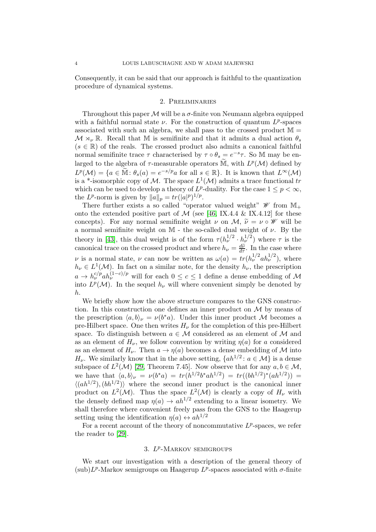<span id="page-3-0"></span>Consequently, it can be said that our approach is faithful to the quantization procedure of dynamical systems.

### 2. Preliminaries

Throughout this paper  $\mathcal M$  will be a  $\sigma$ -finite von Neumann algebra equipped with a faithful normal state  $\nu$ . For the construction of quantum  $L^p$ -spaces associated with such an algebra, we shall pass to the crossed product  $\mathbb{M} =$  $\mathcal{M} \rtimes_{\nu} \mathbb{R}$ . Recall that M is semifinite and that it admits a dual action  $\theta_s$  $(s \in \mathbb{R})$  of the reals. The crossed product also admits a canonical faithful normal semifinite trace  $\tau$  characterised by  $\tau \circ \theta_s = e^{-s}\tau$ . So M may be enlarged to the algebra of  $\tau$ -measurable operators  $\widetilde{M}$ , with  $L^p(\mathcal{M})$  defined by  $L^p(\mathcal{M}) = \{a \in \tilde{\mathbb{M}} : \theta_s(a) = e^{-s/p}a \text{ for all } s \in \mathbb{R}\}.$  It is known that  $L^{\infty}(\mathcal{M})$ is a \*-isomorphic copy of M. The space  $L^1(\mathcal{M})$  admits a trace functional tr which can be used to develop a theory of  $L^p$ -duality. For the case  $1 \leq p < \infty$ , the  $L^p$ -norm is given by  $||a||_p = tr(|a|^p)^{1/p}$ .

There further exists a so called "operator valued weight"  $\mathscr W$  from  $\mathbb{M}_+$ onto the extended positive part of  $\mathcal M$  (see [\[46,](#page-31-4) IX.4.4 & IX.4.12] for these concepts). For any normal semifinite weight  $\nu$  on  $\mathcal{M}, \tilde{\nu} = \nu \circ \mathcal{W}$  will be a normal semifinite weight on M - the so-called dual weight of  $\nu$ . By the theory in [\[43\]](#page-31-5), this dual weight is of the form  $\tau (h_\nu^{1/2} \cdot h_\nu^{1/2})$  where  $\tau$  is the canonical trace on the crossed product and where  $h_{\nu} = \frac{d\tilde{\nu}}{d\tau}$ . In the case where *ν* is a normal state, *ν* can now be written as  $\omega(a) = tr(h_{\nu}^{1/2}ah_{\nu}^{1/2})$ , where  $h_{\nu} \in L^1(\mathcal{M})$ . In fact on a similar note, for the density  $h_{\nu}$ , the prescription  $a \to h_{\nu}^{c/p}ah_{\nu}^{(1-c)/p}$  will for each  $0 \leq c \leq 1$  define a dense embedding of M into  $L^p(\mathcal{M})$ . In the sequel  $h_\nu$  will where convenient simply be denoted by h.

We briefly show how the above structure compares to the GNS construction. In this construction one defines an inner product on  $\mathcal M$  by means of the prescription  $\langle a, b \rangle_{\nu} = \nu(b^*a)$ . Under this inner product M becomes a pre-Hilbert space. One then writes  $H_{\nu}$  for the completion of this pre-Hilbert space. To distinguish between  $a \in \mathcal{M}$  considered as an element of  $\mathcal M$  and as an element of  $H_{\nu}$ , we follow convention by writing  $\eta(a)$  for a considered as an element of  $H_{\nu}$ . Then  $a \to \eta(a)$  becomes a dense embedding of M into  $H_{\nu}$ . We similarly know that in the above setting,  $\{ah^{1/2}: a \in \mathcal{M}\}\$ is a dense subspace of  $L^2(\mathcal{M})$  [\[29,](#page-30-12) Theorem 7.45]. Now observe that for any  $a, b \in \mathcal{M}$ , we have that  $\langle a, b \rangle_{\nu} = \nu(b^*a) = tr(h^{1/2}b^*ah^{1/2}) = tr((bh^{1/2})^*(ah^{1/2})) =$  $\langle (ah^{1/2}), (bh^{1/2}) \rangle$  where the second inner product is the canonical inner product on  $L^2(\mathcal{M})$ . Thus the space  $L^2(\mathcal{M})$  is clearly a copy of  $H_\nu$  with the densely defined map  $\eta(a) \to a h^{1/2}$  extending to a linear isometry. We shall therefore where convenient freely pass from the GNS to the Haagerup setting using the identification  $\eta(a) \leftrightarrow ah^{1/2}$ 

<span id="page-3-1"></span>For a recent account of the theory of noncommutative  $L^p$ -spaces, we refer the reader to [\[29\]](#page-30-12).

# 3.  $L^p$ -MARKOV SEMIGROUPS

We start our investigation with a description of the general theory of  $(\text{sub})L^p$ -Markov semigroups on Haagerup  $L^p$ -spaces associated with  $\sigma$ -finite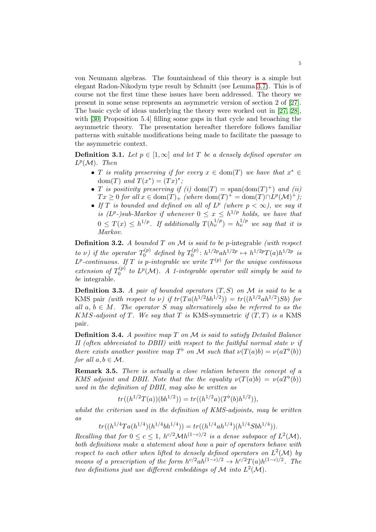von Neumann algebras. The fountainhead of this theory is a simple but elegant Radon-Nikodym type result by Schmitt (see Lemma [3.7\)](#page-5-0). This is of course not the first time these issues have been addressed. The theory we present in some sense represents an asymmetric version of section 2 of [\[27\]](#page-30-13). The basic cycle of ideas underlying the theory were worked out in [\[27,](#page-30-13) [28\]](#page-30-14), with [\[30,](#page-30-15) Proposition 5.4] filling some gaps in that cycle and broaching the asymmetric theory. The presentation hereafter therefore follows familiar patterns with suitable modifications being made to facilitate the passage to the asymmetric context.

**Definition 3.1.** Let  $p \in [1,\infty]$  and let T be a densely defined operator on  $L^p(\mathcal{M})$ . Then

- T is reality preserving if for every  $x \in \text{dom}(T)$  we have that  $x^* \in$ dom $(T)$  and  $T(x^*) = (Tx)^*$ ;
- T is positivity preserving if (i) dom(T) = span(dom(T)<sup>+</sup>) and (ii)  $Tx \geq 0$  for all  $x \in \text{dom}(T)_+$  (where  $\text{dom}(T)^+ = \text{dom}(T) \cap L^p(\mathcal{M})^+$ );
- If T is bounded and defined on all of  $L^p$  (where  $p < \infty$ ), we say it is  $(L^p$ -)sub-Markov if whenever  $0 \leq x \leq h^{1/p}$  holds, we have that  $0 \leq T(x) \leq h^{1/p}$ . If additionally  $T(h_{\nu}^{1/p}) = h_{\nu}^{1/p}$  we say that it is Markov.

**Definition 3.2.** A bounded  $T$  on  $M$  is said to be p-integrable (with respect to  $\nu$ ) if the operator  $T_0^{(p)}$  $\sigma_0^{(p)}$  defined by  $T_0^{(p)}$  $h^{1/2p} : h^{1/2p}ah^{1/2p} \mapsto h^{1/2p}T(a)h^{1/2p}$  is  $L^p$ -continuous. If T is p-integrable we write  $T^{(p)}$  for the unique continuous extension of  $T_0^{(p)}$  $I_0^{(p)}$  to  $L^p(\mathcal{M})$ . A 1-integrable operator will simply be said to be integrable.

**Definition 3.3.** A pair of bounded operators  $(T, S)$  on M is said to be a KMS pair (with respect to  $\nu$ ) if  $tr(Ta(h^{1/2}bh^{1/2})) = tr((h^{1/2}ah^{1/2})Sb)$  for all  $a, b \in M$ . The operator S may alternatively also be referred to as the KMS-adjoint of T. We say that T is KMS-symmetric if  $(T, T)$  is a KMS pair.

<span id="page-4-0"></span>**Definition 3.4.** A positive map  $T$  on  $M$  is said to satisfy Detailed Balance II (often abbreviated to DBII) with respect to the faithful normal state  $\nu$  if there exists another positive map  $T^{\flat}$  on M such that  $\nu(T(a)b) = \nu(aT^{\flat}(b))$ for all  $a, b \in \mathcal{M}$ .

Remark 3.5. There is actually a close relation between the concept of a KMS adjoint and DBII. Note that the the equality  $\nu(T(a)b) = \nu(aT^{\flat}(b))$ used in the definition of DBII, may also be written as

$$
tr((h^{1/2}T(a))(bh^{1/2})) = tr((h^{1/2}a)(Tb(b)h^{1/2})),
$$

whilst the criterion used in the definition of KMS-adjoints, may be written  $a_{\rm s}$ 

$$
tr((h^{1/4}Ta(h^{1/4})(h^{1/4}bh^{1/4})) = tr((h^{1/4}ah^{1/4})(h^{1/4}Sbh^{1/4})).
$$

Recalling that for  $0 \le c \le 1$ ,  $h^{c/2} \mathcal{M} h^{(1-c)/2}$  is a dense subspace of  $L^2(\mathcal{M})$ , both definitions make a statement about how a pair of operators behave with respect to each other when lifted to densely defined operators on  $L^2(\mathcal{M})$  by means of a prescription of the form  $h^{c/2}ah^{(1-c)/2} \to h^{c/2}T(a)h^{(1-c)/2}$ . The two definitions just use different embeddings of M into  $L^2(\mathcal{M})$ .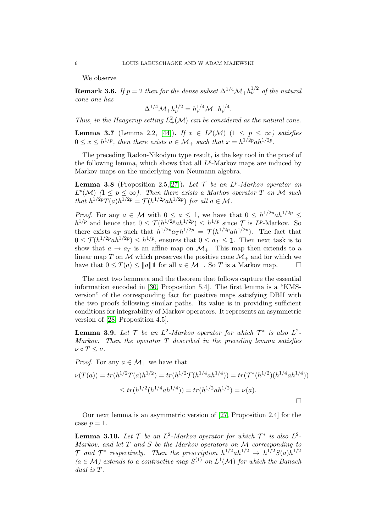We observe

<span id="page-5-1"></span>**Remark 3.6.** If  $p = 2$  then for the dense subset  $\Delta^{1/4} \mathcal{M}_+ h_\nu^{1/2}$  of the natural cone one has

$$
\Delta^{1/4} \mathcal{M}_+ h_\nu^{1/2} = h_\nu^{1/4} \mathcal{M}_+ h_\nu^{1/4}.
$$

Thus, in the Haagerup setting  $L^2_+(\mathcal{M})$  can be considered as the natural cone.

<span id="page-5-0"></span>**Lemma 3.7** (Lemma 2.2, [\[44\]](#page-31-6)). If  $x \in L^p(\mathcal{M})$   $(1 \leq p \leq \infty)$  satisfies  $0 \le x \le h^{1/p}$ , then there exists  $a \in \mathcal{M}_+$  such that  $x = h^{1/2p}ah^{1/2p}$ .

The preceding Radon-Nikodym type result, is the key tool in the proof of the following lemma, which shows that all  $L^p$ -Markov maps are induced by Markov maps on the underlying von Neumann algebra.

**Lemma 3.8** (Proposition 2.5,[\[27\]](#page-30-13)). Let  $\mathcal{T}$  be an  $L^p$ -Markov operator on  $L^p(\mathcal{M})$   $(1 \leq p \leq \infty)$ . Then there exists a Markov operator T on M such that  $h^{1/2p}T(a)h^{1/2p} = \mathcal{T}(h^{1/2p}ah^{1/2p})$  for all  $a \in \mathcal{M}$ .

*Proof.* For any  $a \in \mathcal{M}$  with  $0 \leq a \leq 1$ , we have that  $0 \leq h^{1/2p}ah^{1/2p} \leq$  $h^{1/p}$  and hence that  $0 \leq \mathcal{T}(h^{1/2p}ah^{1/2p}) \leq h^{1/p}$  since  $\mathcal{T}$  is  $L^p$ -Markov. So there exists  $a_T$  such that  $h^{1/2p} a_T h^{1/2p} = \mathcal{T}(h^{1/2p} a h^{1/2p})$ . The fact that  $0 \leq \mathcal{T}(h^{1/2p}ah^{1/2p}) \leq h^{1/p}$ , ensures that  $0 \leq a_T \leq \mathbb{1}$ . Then next task is to show that  $a \to a_T$  is an affine map on  $\mathcal{M}_+$ . This map then extends to a linear map T on M which preserves the positive cone  $\mathcal{M}_+$  and for which we have that  $0 \leq T(a) \leq ||a||$  for all  $a \in \mathcal{M}_+$ . So T is a Markov map have that  $0 \leq T(a) \leq ||a|| \mathbb{1}$  for all  $a \in \mathcal{M}_+$ . So T is a Markov map.

The next two lemmata and the theorem that follows capture the essential information encoded in [\[30,](#page-30-15) Proposition 5.4]. The first lemma is a "KMSversion" of the corresponding fact for positive maps satisfying DBII with the two proofs following similar paths. Its value is in providing sufficient conditions for integrability of Markov operators. It represents an asymmetric version of [\[28,](#page-30-14) Proposition 4.5].

**Lemma 3.9.** Let  $\mathcal{T}$  be an  $L^2$ -Markov operator for which  $\mathcal{T}^*$  is also  $L^2$ -Markov. Then the operator  $T$  described in the preceding lemma satisfies  $\nu \circ T \leq \nu$ .

*Proof.* For any  $a \in \mathcal{M}_+$  we have that

$$
\nu(T(a)) = tr(h^{1/2}T(a)h^{1/2}) = tr(h^{1/2}\mathcal{T}(h^{1/4}ah^{1/4})) = tr(\mathcal{T}^*(h^{1/2})(h^{1/4}ah^{1/4}))
$$
  

$$
\le tr(h^{1/2}(h^{1/4}ah^{1/4})) = tr(h^{1/2}ah^{1/2}) = \nu(a).
$$

Our next lemma is an asymmetric version of [\[27,](#page-30-13) Proposition 2.4] for the case  $p=1$ .

**Lemma 3.10.** Let  $\mathcal{T}$  be an  $L^2$ -Markov operator for which  $\mathcal{T}^*$  is also  $L^2$ -Markov, and let  $T$  and  $S$  be the Markov operators on  $M$  corresponding to  $\mathcal{T}$  and  $\mathcal{T}^*$  respectively. Then the prescription  $h^{1/2}ah^{1/2} \to h^{1/2}S(a)h^{1/2}$  $(a \in M)$  extends to a contractive map  $S^{(1)}$  on  $L^1(\mathcal{M})$  for which the Banach dual is T.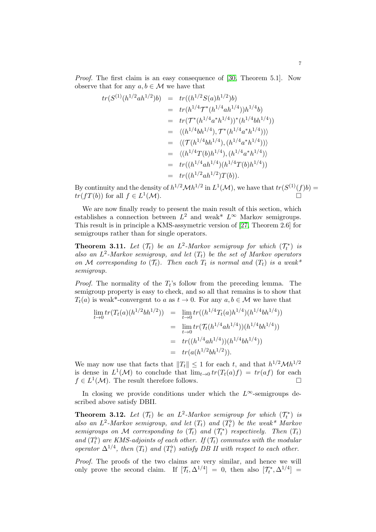Proof. The first claim is an easy consequence of [\[30,](#page-30-15) Theorem 5.1]. Now observe that for any  $a, b \in \mathcal{M}$  we have that

$$
tr(S^{(1)}(h^{1/2}ah^{1/2})b) = tr((h^{1/2}S(a)h^{1/2})b)
$$
  
\n
$$
= tr(h^{1/4}T^*(h^{1/4}ah^{1/4}))h^{1/4}b)
$$
  
\n
$$
= tr(T^*(h^{1/4}a^*h^{1/4}))^*(h^{1/4}bh^{1/4}))
$$
  
\n
$$
= \langle (h^{1/4}bh^{1/4}), T^*(h^{1/4}a^*h^{1/4})) \rangle
$$
  
\n
$$
= \langle (T(h^{1/4}bh^{1/4}), (h^{1/4}a^*h^{1/4})) \rangle
$$
  
\n
$$
= \langle (h^{1/4}T(b)h^{1/4}), (h^{1/4}a^*h^{1/4}) \rangle
$$
  
\n
$$
= tr((h^{1/4}ah^{1/4})(h^{1/4}T(b)h^{1/4}))
$$
  
\n
$$
= tr((h^{1/2}ah^{1/2})T(b)).
$$

By continuity and the density of  $h^{1/2}\mathcal{M}h^{1/2}$  in  $L^1(\mathcal{M})$ , we have that  $tr(S^{(1)}(f)b)$  =  $tr(fT(b))$  for all  $f \in L^1$  $(M).$ 

We are now finally ready to present the main result of this section, which establishes a connection between  $L^2$  and weak<sup>\*</sup>  $L^{\infty}$  Markov semigroups. This result is in principle a KMS-assymetric version of [\[27,](#page-30-13) Theorem 2.6] for semigroups rather than for single operators.

**Theorem 3.11.** Let  $(\mathcal{T}_t)$  be an  $L^2$ -Markov semigroup for which  $(\mathcal{T}_t^*)$  is also an  $L^2$ -Markov semigroup, and let  $(T_t)$  be the set of Markov operators on M corresponding to  $(\mathcal{T}_t)$ . Then each  $T_t$  is normal and  $(T_t)$  is a weak\* semigroup.

*Proof.* The normality of the  $T_t$ 's follow from the preceding lemma. The semigroup property is easy to check, and so all that remains is to show that  $T_t(a)$  is weak\*-convergent to a as  $t \to 0$ . For any  $a, b \in \mathcal{M}$  we have that

$$
\lim_{t \to 0} tr(T_t(a)(h^{1/2}bh^{1/2})) = \lim_{t \to 0} tr((h^{1/4}T_t(a)h^{1/4})(h^{1/4}bh^{1/4}))
$$
  
\n
$$
= \lim_{t \to 0} tr(\mathcal{T}_t(h^{1/4}ah^{1/4}))(h^{1/4}bh^{1/4}))
$$
  
\n
$$
= tr((h^{1/4}ah^{1/4}))(h^{1/4}bh^{1/4}))
$$
  
\n
$$
= tr(a(h^{1/2}bh^{1/2})).
$$

We may now use that facts that  $||T_t|| \leq 1$  for each t, and that  $h^{1/2} \mathcal{M} h^{1/2}$ is dense in  $L^1(\mathcal{M})$  to conclude that  $\lim_{t\to 0} tr(T_t(a)f) = tr(af)$  for each  $f \in L^1(\mathcal{M})$ . The result therefore follows.

In closing we provide conditions under which the  $L^{\infty}$ -semigroups described above satisfy DBII.

<span id="page-6-0"></span>**Theorem 3.12.** Let  $(\mathcal{T}_t)$  be an  $L^2$ -Markov semigroup for which  $(\mathcal{T}_t^*)$  is also an  $L^2$ -Markov semigroup, and let  $(T_t)$  and  $(T_t^{\flat})$  be the weak\* Markov semigroups on M corresponding to  $(\mathcal{T}_t)$  and  $(\mathcal{T}_t^*)$  respectively. Then  $(T_t)$ and  $(T_t^{\flat})$  are KMS-adjoints of each other. If  $(T_t)$  commutes with the modular operator  $\Delta^{1/4}$ , then  $(T_t)$  and  $(T_t^{\flat})$  satisfy DB II with respect to each other.

Proof. The proofs of the two claims are very similar, and hence we will only prove the second claim. If  $[\mathcal{T}_t, \Delta^{1/4}] = 0$ , then also  $[\mathcal{T}_t^*, \Delta^{1/4}] =$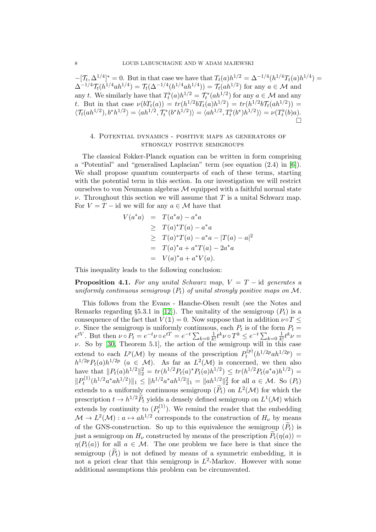$-[T_t, \Delta^{1/4}]^* = 0$ . But in that case we have that  $T_t(a)h^{1/2} = \Delta^{-1/4}(h^{1/4}T_t(a)h^{1/4}) =$  $\Delta^{-1/4} \mathcal{T}_t(h^{1/4}ah^{1/4}) = \mathcal{T}_t(\Delta^{-1/4}(h^{1/4}ah^{1/4})) = \mathcal{T}_t(ah^{1/2})$  for any  $a \in \mathcal{M}$  and any t. We similarly have that  $T_t^{\flat}(a)h^{1/2} = \mathcal{T}_t^*(ah^{1/2})$  for any  $a \in \mathcal{M}$  and any t. But in that case  $\nu(bT_t(a)) = tr(h^{1/2}bT_t(a)h^{1/2}) = tr(h^{1/2}bT_t(ah^{1/2})) =$  $\langle \mathcal{T}_t(ah^{1/2}), b^*h^{1/2} \rangle = \langle ah^{1/2}, \mathcal{T}_t^*(b^*h^{1/2}) \rangle = \langle ah^{1/2}, T_t^{\flat}(b^*)h^{1/2} \rangle \rangle = \nu(T_t^{\flat}(b)a).$  $\stackrel{.}{\Box}$ 

# <span id="page-7-0"></span>4. Potential dynamics - positive maps as generators of strongly positive semigroups

The classical Fokker-Planck equation can be written in form comprising a "Potential" and "generalised Laplacian" term (see equation (2.4) in [\[6\]](#page-29-0)). We shall propose quantum counterparts of each of these terms, starting with the potential term in this section. In our investigation we will restrict ourselves to von Neumann algebras  $\mathcal M$  equipped with a faithful normal state  $\nu$ . Throughout this section we will assume that T is a unital Schwarz map. For  $V = T - id$  we will for any  $a \in \mathcal{M}$  have that

$$
V(a^*a) = T(a^*a) - a^*a
$$
  
\n
$$
\geq T(a)^*T(a) - a^*a
$$
  
\n
$$
\geq T(a)^*T(a) - a^*a - |T(a) - a|^2
$$
  
\n
$$
= T(a)^*a + a^*T(a) - 2a^*a
$$
  
\n
$$
= V(a)^*a + a^*V(a).
$$

This inequality leads to the following conclusion:

**Proposition 4.1.** For any unital Schwarz map,  $V = T - id$  generates a uniformly continuous semigroup  $(P_t)$  of unital strongly positive maps on M.

This follows from the Evans - Hanche-Olsen result (see the Notes and Remarks regarding §5.3.1 in [\[12\]](#page-30-16)). The unitality of the semigroup  $(P_t)$  is a consequence of the fact that  $V(1) = 0$ . Now suppose that in addition  $\nu \circ T \leq$ *ν*. Since the semigroup is uniformly continuous, each  $P_t$  is of the form  $P_t =$  $e^{tV}$ . But then  $\nu \circ P_t = e^{-t} \nu \circ e^{tT} = e^{-t} \sum_{k=0} \frac{1}{k}$  $\frac{1}{k!}t^k \nu \circ T^k \leq e^{-t} \sum_{k=0} \frac{1}{k!}$  $\frac{1}{k!}t^k\nu =$  $\nu$ . So by [\[30,](#page-30-15) Theorem 5.1], the action of the semigroup will in this case extend to each  $L^p(\mathcal{M})$  by means of the prescription  $P_t^{(p)}$  $t^{(p)}(h^{1/2p}ah^{1/2p}) =$  $h^{1/2p}P_t(a)h^{1/2p}$   $(a \in \mathcal{M})$ . As far as  $L^2(\mathcal{M})$  is concerned, we then also have that  $||P_t(a)h^{1/2}||_2^2 = tr(h^{1/2}P_t(a)^*P_t(a)h^{1/2}) \le tr(h^{1/2}P_t(a^*a)h^{1/2}) =$  $\|P_t^{(1)}\|$  $\|h_t^{(1)}(h^{1/2}a^*ah^{1/2})\|_1 \leq \|h^{1/2}a^*ah^{1/2}\|_1 = \|ah^{1/2}\|_2^2$  for all  $a \in \mathcal{M}$ . So  $(P_t)$ extends to a uniformly continuous semigroup  $(\tilde{P}_t)$  on  $L^2(\mathcal{M})$  for which the prescription  $t \to h^{1/2} \widetilde{P}_t$  yields a densely defined semigroup on  $L^1(\mathcal{M})$  which extends by continuity to  $(P_t^{(1)}$  $t_t^{(1)}$ ). We remind the reader that the embedding  $\mathcal{M} \to L^2(\mathcal{M}) : a \mapsto ah^{1/2}$  corresponds to the construction of  $H_{\nu}$  by means of the GNS-construction. So up to this equivalence the semigroup  $(\widetilde{P}_t)$  is just a semigroup on  $H_{\nu}$  constructed by means of the prescription  $\widetilde{P}_t(\eta(a)) =$  $\eta(P_t(a))$  for all  $a \in \mathcal{M}$ . The one problem we face here is that since the semigroup  $(\widetilde{P}_t)$  is not defined by means of a symmetric embedding, it is not a priori clear that this semigroup is  $L^2$ -Markov. However with some additional assumptions this problem can be circumvented.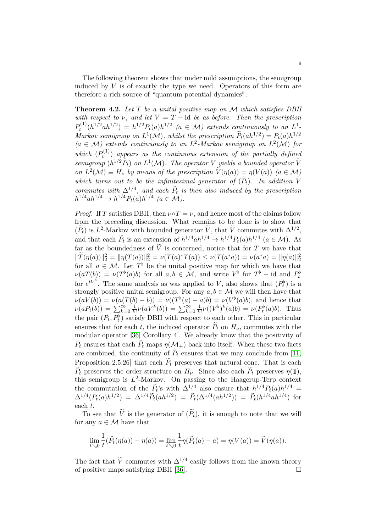The following theorem shows that under mild assumptions, the semigroup induced by  $V$  is of exactly the type we need. Operators of this form are therefore a rich source of "quantum potential dynamics".

<span id="page-8-0"></span>**Theorem 4.2.** Let  $T$  be a unital positive map on  $M$  which satisfies DBII with respect to  $\nu$ , and let  $V = T - id$  be as before. Then the prescription  $P_t^{(1)}$  $t^{(1)}(h^{1/2}ah^{1/2}) = h^{1/2}P_t(a)h^{1/2}$   $(a \in M)$  extends continuously to an  $L^1$ . Markov semigroup on  $L^1(\mathcal{M})$ , whilst the prescription  $P_t(ah^{1/2}) = P_t(a)h^{1/2}$  $(a \in M)$  extends continuously to an  $L^2$ -Markov semigroup on  $L^2(\mathcal{M})$  for which  $(P_t^{(1)}$  $t_t^{(1)}$ ) appears as the continuous extension of the partially defined semigroup  $(h^{1/2}\tilde{P}_t)$  on  $L^1(\mathcal{M})$ . The operator V yields a bounded operator  $\tilde{V}$ on  $L^2(\mathcal{M}) \equiv H_{\nu}$  by means of the prescription  $\widetilde{V}(\eta(a)) = \eta(V(a))$   $(a \in \mathcal{M})$ which turns out to be the infinitesimal generator of  $(\widetilde{P}_t)$ . In addition  $\widetilde{V}$ commutes with  $\Delta^{1/4}$ , and each  $\tilde{P}_t$  is then also induced by the prescription  $h^{1/4}ah^{1/4} \to h^{1/4}P_t(a)h^{1/4}$   $(a \in \mathcal{M}).$ 

*Proof.* If T satisfies DBII, then  $\nu \circ T = \nu$ , and hence most of the claims follow from the preceding discussion. What remains to be done is to show that  $(\tilde{P}_t)$  is  $L^2$ -Markov with bounded generator  $\tilde{V}$ , that  $\tilde{V}$  commutes with  $\Delta^{1/2}$ , and that each  $\tilde{P}_t$  is an extension of  $h^{1/4}ah^{1/4} \to h^{1/4}P_t(a)h^{1/4}$   $(a \in \mathcal{M})$ . As far as the boundedness of  $\widetilde{V}$  is concerned, notice that for T we have that  $\|\widetilde{T}(\eta(a))\|_2^2 = \|\eta(T(a))\|_2^2 = \nu(T(a)^*T(a)) \leq \nu(T(a^*a)) = \nu(a^*a) = \|\eta(a)\|_2^2$ for all  $a \in \mathcal{M}$ . Let  $T^{\flat}$  be the unital positive map for which we have that  $\nu(aT(b)) = \nu(T^{\flat}(a)b)$  for all  $a, b \in \mathcal{M}$ , and write  $V^{\flat}$  for  $T^{\flat}$  – id and  $P_t^{\flat}$ for  $e^{tV^{\flat}}$ . The same analysis as was applied to V, also shows that  $(P_t^{\flat})$  is a strongly positive unital semigroup. For any  $a, b \in \mathcal{M}$  we will then have that  $\nu(aV(b)) = \nu(a(T(b) - b)) = \nu((T^{\flat}(a) - a)b) = \nu(V^{\flat}(a)b)$ , and hence that  $\nu(aP_t(b)) = \sum_{k=0}^{\infty} \frac{1}{k!}$  $\frac{1}{k!}\nu(aV^k(b)) = \sum_{k=0}^{\infty}\frac{1}{k}$  $\frac{1}{k!}\nu((V^{\flat})^k(a)b) = \nu(P_t^{\flat}(a)b)$ . Thus the pair  $(P_t, P_t^{\flat})$  satisfy DBII with respect to each other. This in particular ensures that for each t, the induced operator  $\tilde{P}_t$  on  $H_{\nu}$ , commutes with the modular operator [\[36,](#page-30-17) Corollary 4]. We already know that the positivity of  $P_t$  ensures that each  $\tilde{P}_t$  maps  $\eta(\mathcal{M}_+)$  back into itself. When these two facts are combined, the continuity of  $P_t$  ensures that we may conclude from [\[11,](#page-30-9) Proposition 2.5.26] that each  $P_t$  preserves that natural cone. That is each  $\widetilde{P}_t$  preserves the order structure on  $H_{\nu}$ . Since also each  $\widetilde{P}_t$  preserves  $\eta(\mathbb{1}),$ this semigroup is  $L^2$ -Markov. On passing to the Haagerup-Terp context the commutation of the  $\tilde{P}_t$ 's with  $\Delta^{1/4}$  also ensure that  $h^{1/4}P_t(a)h^{1/4} =$  $\Delta^{1/4}(P_t(a)h^{1/2}) = \Delta^{1/4}\tilde{P}_t(ah^{1/2}) = \tilde{P}_t(\Delta^{1/4}(ah^{1/2})) = \tilde{P}_t(h^{1/4}ah^{1/4})$  for each t.

To see that  $\tilde{V}$  is the generator of  $(\tilde{P}_t)$ , it is enough to note that we will for any  $a \in \mathcal{M}$  have that

$$
\lim_{t \searrow 0} \frac{1}{t} (\widetilde{P}_t(\eta(a)) - \eta(a)) = \lim_{t \searrow 0} \frac{1}{t} \eta(\widetilde{P}_t(a) - a) = \eta(V(a)) = \widetilde{V}(\eta(a)).
$$

The fact that  $\tilde{V}$  commutes with  $\Delta^{1/4}$  easily follows from the known theory of positive maps satisfying DBII [\[36\]](#page-30-17).  $\Box$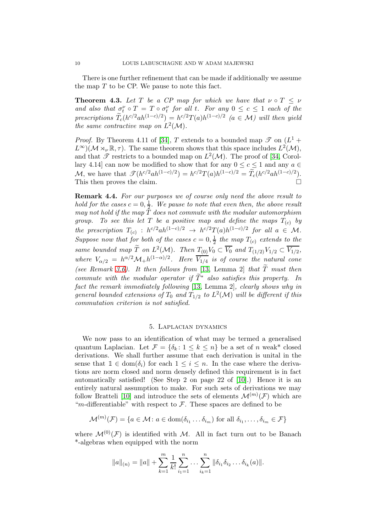There is one further refinement that can be made if additionally we assume the map  $T$  to be CP. We pause to note this fact.

**Theorem 4.3.** Let T be a CP map for which we have that  $\nu \circ T \leq \nu$ and also that  $\sigma_t^{\nu} \circ T = T \circ \sigma_t^{\nu}$  for all t. For any  $0 \leq c \leq 1$  each of the t prescriptions  $T_c(h^{c/2}ah^{(1-c)/2}) = h^{c/2}T(a)h^{(1-c)/2}$  ( $a \in \mathcal{M}$ ) will then yield the same contractive map on  $L^2(\mathcal{M})$ .

*Proof.* By Theorem 4.11 of [\[34\]](#page-30-18), T extends to a bounded map  $\mathscr{T}$  on  $(L^1 +$  $L^{\infty}(\mathcal{M} \rtimes_{\nu} \mathbb{R}, \tau)$ . The same theorem shows that this space includes  $L^2(\mathcal{M})$ , and that  $\mathscr T$  restricts to a bounded map on  $L^2(\mathcal{M})$ . The proof of [\[34,](#page-30-18) Corollary 4.14] can now be modified to show that for any  $0 \leq c \leq 1$  and any  $a \in$ M, we have that  $\mathscr{T}(h^{c/2}ah^{(1-c)/2}) = h^{c/2}T(a)h^{(1-c)/2} = \widetilde{T}_c(h^{c/2}ah^{(1-c)/2}).$ This then proves the claim.

Remark 4.4. For our purposes we of course only need the above result to hold for the cases  $c = 0, \frac{1}{2}$  $\frac{1}{2}$ . We pause to note that even then, the above result may not hold if the map  $\bar{T}$  does not commute with the modular automorphism group. To see this let T be a positive map and define the maps  $T_{(c)}$  by the prescription  $T_{(c)}: h^{c/2}ah^{(1-c)/2} \rightarrow h^{c/2}T(a)h^{(1-c)/2}$  for all  $a \in \mathcal{M}$ . Suppose now that for both of the cases  $c = 0, \frac{1}{2}$  $\frac{1}{2}$  the map  $T_{(c)}$  extends to the same bounded map  $\widetilde{T}$  on  $L^2(\mathcal{M})$ . Then  $T_{(0)}V_0 \subset \overline{V_0}$  and  $T_{(1/2)}V_{1/2} \subset \overline{V_{1/2}}$ , where  $V_{\alpha/2} = h^{\alpha/2} \mathcal{M}_+ h^{(1-\alpha)/2}$ . Here  $\overline{V_{1/4}}$  is of course the natural cone (see Remark [3.6\)](#page-5-1). It then follows from [\[13,](#page-30-19) Lemma 2] that  $\widetilde{T}$  must then commute with the modular operator if  $\widetilde{T}^*$  also satisfies this property. In fact the remark immediately following [\[13,](#page-30-19) Lemma 2], clearly shows why in general bounded extensions of  $T_0$  and  $T_{1/2}$  to  $L^2(\mathcal{M})$  will be different if this commutation criterion is not satisfied.

#### 5. Laplacian dynamics

<span id="page-9-0"></span>We now pass to an identification of what may be termed a generalised quantum Laplacian. Let  $\mathcal{F} = \{\delta_k : 1 \leq k \leq n\}$  be a set of n weak\* closed derivations. We shall further assume that each derivation is unital in the sense that  $1 \text{ } \in \text{dom}(\delta_i)$  for each  $1 \leq i \leq n$ . In the case where the derivations are norm closed and norm densely defined this requirement is in fact automatically satisfied! (See Step 2 on page 22 of [\[10\]](#page-29-8).) Hence it is an entirely natural assumption to make. For such sets of derivations we may follow Bratteli [\[10\]](#page-29-8) and introduce the sets of elements  $\mathcal{M}^{(m)}(\mathcal{F})$  which are "m-differentiable" with respect to  $\mathcal F$ . These spaces are defined to be

$$
\mathcal{M}^{(m)}(\mathcal{F}) = \{a \in \mathcal{M} \colon a \in \text{dom}(\delta_{i_1} \dots \delta_{i_m}) \text{ for all } \delta_{i_1}, \dots, \delta_{i_m} \in \mathcal{F}\}\
$$

where  $\mathcal{M}^{(0)}(\mathcal{F})$  is identified with M. All in fact turn out to be Banach \*-algebras when equipped with the norm

$$
||a||_{(n)} = ||a|| + \sum_{k=1}^{m} \frac{1}{k!} \sum_{i_1=1}^{n} \dots \sum_{i_k=1}^{n} ||\delta_{i_1} \delta_{i_2} \dots \delta_{i_k} (a)||.
$$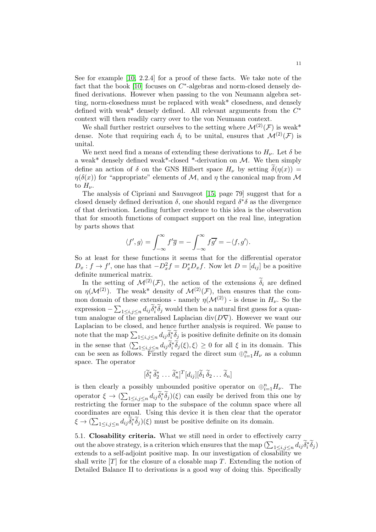See for example [\[10,](#page-29-8) 2.2.4] for a proof of these facts. We take note of the fact that the book  $[10]$  focuses on  $C^*$ -algebras and norm-closed densely defined derivations. However when passing to the von Neumann algebra setting, norm-closedness must be replaced with weak\* closedness, and densely defined with weak<sup>\*</sup> densely defined. All relevant arguments from the  $C^*$ context will then readily carry over to the von Neumann context.

We shall further restrict ourselves to the setting where  $\mathcal{M}^{(2)}(\mathcal{F})$  is weak\* dense. Note that requiring each  $\delta_i$  to be unital, ensures that  $\mathcal{M}^{(2)}(\mathcal{F})$  is unital.

We next need find a means of extending these derivations to  $H_{\nu}$ . Let  $\delta$  be a weak<sup>\*</sup> densely defined weak<sup>\*</sup>-closed <sup>\*</sup>-derivation on  $\mathcal{M}$ . We then simply define an action of  $\delta$  on the GNS Hilbert space  $H_{\nu}$  by setting  $\delta(\eta(x)) =$  $\eta(\delta(x))$  for "appropriate" elements of M, and  $\eta$  the canonical map from M to  $H_{\nu}$ .

The analysis of Cipriani and Sauvageot [\[15,](#page-30-8) page 79] suggest that for a closed densely defined derivation  $\delta$ , one should regard  $\delta^*\delta$  as the divergence of that derivation. Lending further credence to this idea is the observation that for smooth functions of compact support on the real line, integration by parts shows that

$$
\langle f', g \rangle = \int_{-\infty}^{\infty} f' \overline{g} = -\int_{-\infty}^{\infty} f \overline{g'} = -\langle f, g' \rangle.
$$

So at least for these functions it seems that for the differential operator  $D_x: f \to f'$ , one has that  $-D_x^2 f = D_x^* D_x f$ . Now let  $D = [d_{ij}]$  be a positive definite numerical matrix.

In the setting of  $\mathcal{M}^{(2)}(\mathcal{F})$ , the action of the extensions  $\delta_i$  are defined on  $\eta(\mathcal{M}^{(2)})$ . The weak\* density of  $\mathcal{M}^{(2)}(\mathcal{F})$ , then ensures that the common domain of these extensions - namely  $\eta(\mathcal{M}^{(2)})$  - is dense in  $H_{\nu}$ . So the expression  $-\sum_{1\leq i,j\leq n}d_{ij}\tilde{\delta}_i^*\tilde{\delta}_j$  would then be a natural first guess for a quantum analogue of the generalised Laplacian div( $D\nabla$ ). However we want our Laplacian to be closed, and hence further analysis is required. We pause to note that the map  $\sum_{1 \leq i,j \leq n} d_{ij} \tilde{\delta}_i^* \tilde{\delta}_j$  is positive definite definite on its domain in the sense that  $\langle \sum_{1 \leq i,j \leq n} d_{ij} \tilde{\delta}_i^* \tilde{\delta}_j(\xi), \xi \rangle \geq 0$  for all  $\xi$  in its domain. This can be seen as follows. Firstly regard the direct sum  $\bigoplus_{i=1}^{n} H_{\nu}$  as a column space. The operator

$$
[\widetilde{\delta}_1^* \ \widetilde{\delta}_2^* \ \ldots \ \widetilde{\delta}_n^*]^T [d_{ij}] [\widetilde{\delta}_1 \ \widetilde{\delta}_2 \ \ldots \ \widetilde{\delta}_n]
$$

is then clearly a possibly unbounded positive operator on  $\bigoplus_{i=1}^n H_{\nu}$ . The operator  $\xi \to (\sum_{1 \leq i,j \leq n} d_{ij} \tilde{\delta}_i^* \tilde{\delta}_j)(\xi)$  can easily be derived from this one by restricting the former map to the subspace of the column space where all coordinates are equal. Using this device it is then clear that the operator  $\xi \to (\sum_{1 \leq i,j \leq n} d_{ij} \widetilde{\delta}_i^* \widetilde{\delta}_j)(\xi)$  must be positive definite on its domain.

5.1. Closability criteria. What we still need in order to effectively carry out the above strategy, is a criterion which ensures that the map  $(\sum_{1\leq i,j\leq n}d_{ij}\tilde{\delta}_i^*\tilde{\delta}_j)$ extends to a self-adjoint positive map. In our investigation of closability we shall write  $[T]$  for the closure of a closable map T. Extending the notion of Detailed Balance II to derivations is a good way of doing this. Specifically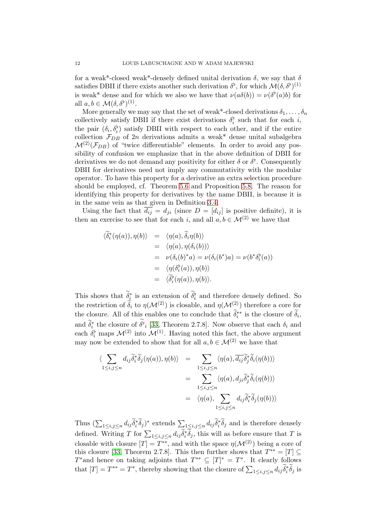for a weak\*-closed weak\*-densely defined unital derivation  $\delta$ , we say that  $\delta$ satisfies DBII if there exists another such derivation  $\delta^{\flat}$ , for which  $\mathcal{M}(\delta, \delta^{\flat})^{(1)}$ is weak\* dense and for which we also we have that  $\nu(a\delta(b)) = \nu(\delta^{\flat}(a)b)$  for all  $a, b \in \mathcal{M}(\delta, \delta^{\flat})^{(1)}$ .

More generally we may say that the set of weak\*-closed derivations  $\delta_1, \ldots, \delta_n$ collectively satisfy DBII if there exist derivations  $\delta_i^{\flat}$  such that for each *i*, the pair  $(\delta_i, \delta_i^{\flat})$  satisfy DBII with respect to each other, and if the entire collection  $\mathcal{F}_{DB}$  of 2n derivations admits a weak\* dense unital subalgebra  $\mathcal{M}^{(2)}(\mathcal{F}_{DB})$  of "twice differentiable" elements. In order to avoid any possibility of confusion we emphasize that in the above definition of DBII for derivatives we do not demand any positivity for either  $\delta$  or  $\delta^{\flat}$ . Consequently DBII for derivatives need not imply any commutativity with the modular operator. To have this property for a derivative an extra selection procedure should be employed, cf. Theorem [5.6](#page-14-0) and Proposition [5.8.](#page-17-0) The reason for identifying this property for derivatives by the name DBII, is because it is in the same vein as that given in Definition [3.4.](#page-4-0)

Using the fact that  $d_{ij} = d_{ji}$  (since  $D = [d_{ij}]$  is positive definite), it is then an exercise to see that for each i, and all  $a, b \in \mathcal{M}^{(2)}$  we have that

$$
\begin{array}{rcl}\n\langle \widetilde{\delta}_i^*(\eta(a)), \eta(b) \rangle & = & \langle \eta(a), \widetilde{\delta}_i \eta(b) \rangle \\
& = & \langle \eta(a), \eta(\delta_i(b)) \rangle \\
& = & \nu(\delta_i(b)^*a) = \nu(\delta_i(b^*)a) = \nu(b^*\delta_i^*(a)) \\
& = & \langle \eta(\delta_i^{\flat}(a)), \eta(b) \rangle \\
& = & \langle \widetilde{\delta}_i^{\flat}(\eta(a)), \eta(b) \rangle.\n\end{array}
$$

This shows that  $\delta_i^*$  is an extension of  $\delta_i^{\flat}$  and therefore densely defined. So the restriction of  $\tilde{\delta}_i$  to  $\eta(\mathcal{M}^{(2)})$  is closable, and  $\eta(\mathcal{M}^{(2)})$  therefore a core for the closure. All of this enables one to conclude that  $\delta_i^{**}$  is the closure of  $\delta_i$ , and  $\delta_i^*$  the closure of  $\delta_i^{\flat}$  [\[33,](#page-30-20) Theorem 2.7.8]. Now observe that each  $\delta_i$  and each  $\delta_i^{\flat}$  maps  $\mathcal{M}^{(2)}$  into  $\mathcal{M}^{(1)}$ . Having noted this fact, the above argument may now be extended to show that for all  $a, b \in \mathcal{M}^{(2)}$  we have that

$$
\langle \sum_{1 \le i,j \le n} d_{ij} \tilde{\delta}_i^* \tilde{\delta}_j(\eta(a)), \eta(b) \rangle = \sum_{1 \le i,j \le n} \langle \eta(a), \overline{d_{ij}} \tilde{\delta}_j^* \tilde{\delta}_i(\eta(b)) \rangle
$$
  

$$
= \sum_{1 \le i,j \le n} \langle \eta(a), d_{ji} \tilde{\delta}_j^* \tilde{\delta}_i(\eta(b)) \rangle
$$
  

$$
= \langle \eta(a), \sum_{1 \le i,j \le n} d_{ij} \tilde{\delta}_i^* \tilde{\delta}_j(\eta(b)) \rangle
$$

Thus  $(\sum_{1 \leq i,j \leq n} d_{ij} \tilde{\delta}_i^* \tilde{\delta}_j)^*$  extends  $\sum_{1 \leq i,j \leq n} d_{ij} \tilde{\delta}_i^* \tilde{\delta}_j$  and is therefore densely defined. Writing T for  $\sum_{1 \leq i,j \leq n} d_{ij} \tilde{\delta}_i^* \tilde{\delta}_j$ , this will as before ensure that T is closable with closure  $[T] = T^{**}$ , and with the space  $\eta(\mathcal{M}^{(2)})$  being a core of this closure [\[33,](#page-30-20) Theorem 2.7.8]. This then further shows that  $T^{**} = [T] \subseteq$ T\* and hence on taking adjoints that  $T^{**} \subseteq [T]^* = T^*$ . It clearly follows that  $[T] = T^{**} = T^*$ , thereby showing that the closure of  $\sum_{1 \le i,j \le n} d_{ij} \tilde{\delta}_i^* \tilde{\delta}_j$  is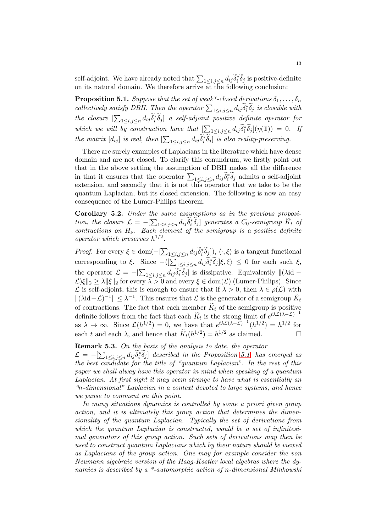self-adjoint. We have already noted that  $\sum_{1 \le i,j \le n} d_{ij} \tilde{\delta}_i^* \tilde{\delta}_j$  is positive-definite on its natural domain. We therefore arrive  $\overline{at}$  the following conclusion:

<span id="page-12-0"></span>**Proposition 5.1.** Suppose that the set of weak\*-closed derivations  $\delta_1, \ldots, \delta_n$ collectively satisfy DBII. Then the operator  $\sum_{1 \leq i,j \leq n} d_{ij} \tilde{\delta}_i^* \tilde{\delta}_j$  is closable with the closure  $[\sum_{1\leq i,j\leq n}d_{ij}\tilde{\delta}_i^*\tilde{\delta}_j]$  a self-adjoint positive definite operator for which we will by construction have that  $\left[\sum_{1 \leq i,j \leq n} d_{ij} \tilde{\delta}_i^* \tilde{\delta}_j\right] (\eta(\mathbb{1})) = 0$ . If the matrix  $[d_{ij}]$  is real, then  $[\sum_{1 \leq i,j \leq n} d_{ij} \widetilde{\delta}_i^* \widetilde{\delta}_j]$  is also reality-preserving.

There are surely examples of Laplacians in the literature which have dense domain and are not closed. To clarify this conundrum, we firstly point out that in the above setting the assumption of DBII makes all the difference in that it ensures that the operator  $\sum_{1 \leq i,j \leq n} d_{ij} \tilde{\delta}_i^* \tilde{\delta}_j$  admits a self-adjoint extension, and secondly that it is not this operator that we take to be the quantum Laplacian, but its closed extension. The following is now an easy consequence of the Lumer-Philips theorem.

Corollary 5.2. Under the same assumptions as in the previous proposition, the closure  $\mathcal{L} = -[\sum_{1 \leq i,j \leq n} d_{ij} \widetilde{\delta}_i^* \widetilde{\delta}_j]$  generates a  $C_0$ -semigroup  $\widetilde{K}_t$  of contractions on  $H_{\nu}$ . Each element of the semigroup is a positive definite operator which preserves  $h^{1/2}$ .

*Proof.* For every  $\xi \in \text{dom}(-[\sum_{1 \leq i,j \leq n} d_{ij} \tilde{\delta}_i^* \tilde{\delta}_j]), \langle \cdot, \xi \rangle$  is a tangent functional corresponding to  $\xi$ . Since  $-\langle \left[\sum_{1 \leq i,j \leq n} d_{ij} \tilde{\delta}_i^* \tilde{\delta}_j\right] \xi, \xi \rangle \leq 0$  for each such  $\xi$ , the operator  $\mathcal{L} = -[\sum_{1 \le i,j \le n} d_{ij} \tilde{\delta}_i^* \tilde{\delta}_j]$  is dissipative. Equivalently  $\|(\lambda id \mathcal{L}$ )ξ $||_2 \geq \lambda ||\xi||_2$  for every  $\lambda > 0$  and every  $\xi \in \text{dom}(\mathcal{L})$  (Lumer-Philips). Since L is self-adjoint, this is enough to ensure that if  $\lambda > 0$ , then  $\lambda \in \rho(\mathcal{L})$  with  $\|(\lambda id - \mathcal{L})^{-1}\| \leq \lambda^{-1}$ . This ensures that  $\mathcal{L}$  is the generator of a semigroup  $\widetilde{K}_t$ of contractions. The fact that each member  $\widetilde{K}_t$  of the semigroup is positive definite follows from the fact that each  $\widetilde{K}_t$  is the strong limit of  $e^{t\lambda}\widetilde{L}(\lambda-\mathcal{L})^{-1}$ as  $\lambda \to \infty$ . Since  $\mathcal{L}(h^{1/2}) = 0$ , we have that  $e^{t\lambda \mathcal{L}(\lambda - \mathcal{L})^{-1}}(h^{1/2}) = h^{1/2}$  for each t and each  $\lambda$ , and hence that  $\widetilde{K}_t(h^{1/2}) = h^{1/2}$  as claimed.

# <span id="page-12-1"></span>Remark 5.3. On the basis of the analysis to date, the operator

 $\mathcal{L} = -[\sum_{1 \leq i,j \leq n} d_{ij} \widetilde{\delta}_i^* \widetilde{\delta}_j]$  described in the Proposition [5.1,](#page-12-0) has emerged as the best candidate for the title of "quantum Laplacian". In the rest of this paper we shall alway have this operator in mind when speaking of a quantum Laplacian. At first sight it may seem strange to have what is essentially an "n-dimensional" Laplacian in a context devoted to large systems, and hence we pause to comment on this point.

In many situations dynamics is controlled by some a priori given group action, and it is ultimately this group action that determines the dimensionality of the quantum Laplacian. Typically the set of derivations from which the quantum Laplacian is constructed, would be a set of infinitesimal generators of this group action. Such sets of derivations may then be used to construct quantum Laplacians which by their nature should be viewed as Laplacians of the group action. One may for example consider the von Neumann algebraic version of the Haag-Kastler local algebras where the dynamics is described by a \*-automorphic action of n-dimensional Minkowski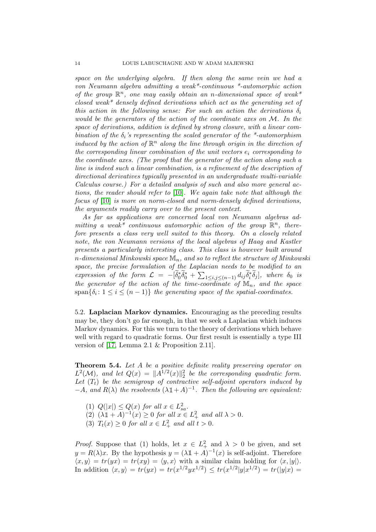space on the underlying algebra. If then along the same vein we had a von Neumann algebra admitting a weak\*-continuous \*-automorphic action of the group  $\mathbb{R}^n$ , one may easily obtain an n-dimensional space of weak\* closed weak\* densely defined derivations which act as the generating set of this action in the following sense: For such an action the derivations  $\delta_i$ would be the generators of the action of the coordinate axes on  $\mathcal M$ . In the space of derivations, addition is defined by strong closure, with a linear combination of the  $\delta_i$ 's representing the scaled generator of the \*-automorphism induced by the action of  $\mathbb{R}^n$  along the line through origin in the direction of the corresponding linear combination of the unit vectors  $e_i$  corresponding to the coordinate axes. (The proof that the generator of the action along such a line is indeed such a linear combination, is a refinement of the description of directional derivatives typically presented in an undergraduate multi-variable Calculus course.) For a detailed analysis of such and also more general actions, the reader should refer to [\[10\]](#page-29-8). We again take note that although the focus of [\[10\]](#page-29-8) is more on norm-closed and norm-densely defined derivations, the arguments readily carry over to the present context.

As far as applications are concerned local von Neumann algebras admitting a weak\* continuous automorphic action of the group  $\mathbb{R}^n$ , therefore presents a class very well suited to this theory. On a closely related note, the von Neumann versions of the local algebras of Haag and Kastler presents a particularly interesting class. This class is however built around n-dimensional Minkowski space  $\mathbb{M}_n$ , and so to reflect the structure of Minkowski space, the precise formulation of the Laplacian needs to be modified to an expression of the form  $\mathcal{L} = -[\tilde{\delta}_0^* \tilde{\delta}_0^* + \sum_{1 \leq i,j \leq (n-1)} d_{ij} \tilde{\delta}_i^* \tilde{\delta}_j],$  where  $\delta_0$  is the generator of the action of the time-coordinate of  $\mathbb{M}_n$ , and the space  $\text{span}\{\delta_i\colon 1\leq i\leq (n-1)\}\$  the generating space of the spatial-coordinates.

5.2. Laplacian Markov dynamics. Encouraging as the preceding results may be, they don't go far enough, in that we seek a Laplacian which induces Markov dynamics. For this we turn to the theory of derivations which behave well with regard to quadratic forms. Our first result is essentially a type III version of [\[17,](#page-30-21) Lemma 2.1 & Proposition 2.11].

<span id="page-13-0"></span>Theorem 5.4. Let A be a positive definite reality preserving operator on  $L^2(\mathcal{M})$ , and let  $Q(x) = ||A^{1/2}(x)||_2^2$  be the corresponding quadratic form. Let  $(T_t)$  be the semigroup of contractive self-adjoint operators induced by  $-A$ , and  $R(\lambda)$  the resolvents  $(\lambda \mathbb{1} + A)^{-1}$ . Then the following are equivalent:

- (1)  $Q(|x|) \leq Q(x)$  for all  $x \in L^2_{sa}$ .
- (2)  $(\lambda \mathbb{1} + A)^{-1}(x) \ge 0$  for all  $x \in L^2_+$  and all  $\lambda > 0$ .
- (3)  $T_t(x) \geq 0$  for all  $x \in L^2_+$  and all  $t > 0$ .

*Proof.* Suppose that (1) holds, let  $x \in L^2_+$  and  $\lambda > 0$  be given, and set  $y = R(\lambda)x$ . By the hypothesis  $y = (\lambda \mathbb{1} + A)^{-1}(x)$  is self-adjoint. Therefore  $\langle x, y \rangle = tr(yx) = tr(xy) = \langle y, x \rangle$  with a similar claim holding for  $\langle x, |y| \rangle$ . In addition  $\langle x, y \rangle = tr(yx) = tr(x^{1/2}yx^{1/2}) \le tr(x^{1/2}|y|x^{1/2}) = tr(|y|x)$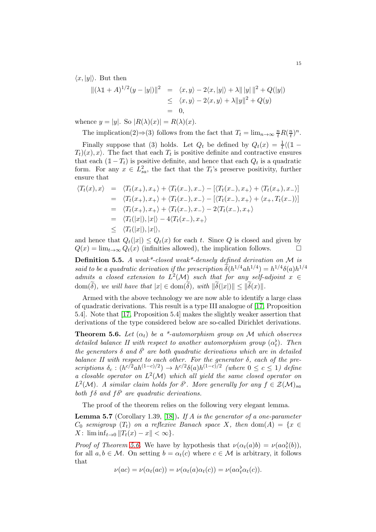$\langle x, |y| \rangle$ . But then

$$
\begin{array}{rcl} \Vert (\lambda \mathbb{1} + A)^{1/2} (y - |y|) \Vert^2 & = & \langle x, y \rangle - 2 \langle x, |y| \rangle + \lambda \Vert |y| \Vert^2 + Q(|y|) \\ & \leq & \langle x, y \rangle - 2 \langle x, y \rangle + \lambda \Vert y \Vert^2 + Q(y) \\ & = & 0, \end{array}
$$

whence  $y = |y|$ . So  $|R(\lambda)(x)| = R(\lambda)(x)$ .

The implication(2) 
$$
\Rightarrow
$$
 (3) follows from the fact that  $T_t = \lim_{n \to \infty} \frac{n}{t} R(\frac{n}{t})^n$ .

Finally suppose that (3) holds. Let  $Q_t$  be defined by  $Q_t(x) = \frac{1}{t} \langle (1 - x)^2 \rangle$  $(T_t)(x)$ ,  $x$ ). The fact that each  $T_t$  is positive definite and contractive ensures that each  $(1 - T_t)$  is positive definite, and hence that each  $Q_t$  is a quadratic form. For any  $x \in L_{sa}^2$ , the fact that the  $T_t$ 's preserve positivity, further ensure that

$$
\langle T_t(x), x \rangle = \langle T_t(x_+), x_+ \rangle + \langle T_t(x_-), x_- \rangle - [\langle T_t(x_-), x_+ \rangle + \langle T_t(x_+), x_- \rangle]
$$
  
\n
$$
= \langle T_t(x_+), x_+ \rangle + \langle T_t(x_-), x_- \rangle - [\langle T_t(x_-), x_+ \rangle + \langle x_+, T_t(x_-) \rangle]
$$
  
\n
$$
= \langle T_t(x_+), x_+ \rangle + \langle T_t(x_-), x_- \rangle - 2 \langle T_t(x_-), x_+ \rangle
$$
  
\n
$$
= \langle T_t(|x|), |x| \rangle - 4 \langle T_t(x_-), x_+ \rangle
$$
  
\n
$$
\leq \langle T_t(|x|), |x| \rangle,
$$

and hence that  $Q_t(|x|) \leq Q_t(x)$  for each t. Since Q is closed and given by  $Q(x) = \lim_{t\to\infty} Q_t(x)$  (infinities allowed), the implication follows.

**Definition 5.5.** A weak\*-closed weak\*-densely defined derivation on  $\mathcal{M}$  is said to be a quadratic derivation if the prescription  $\delta(h^{1/4}ah^{1/4})=h^{1/4}\delta(a)h^{1/4}$ admits a closed extension to  $L^2(\mathcal{M})$  such that for any self-adjoint  $x \in$  $dom(\delta)$ , we will have that  $|x| \in dom(\delta)$ , with  $\|\delta(x)\| \le \|\delta(x)\|$ .

Armed with the above technology we are now able to identify a large class of quadratic derivations. This result is a type III analogue of [\[17,](#page-30-21) Proposition 5.4]. Note that [\[17,](#page-30-21) Proposition 5.4] makes the slightly weaker assertion that derivations of the type considered below are so-called Dirichlet derivations.

<span id="page-14-0"></span>**Theorem 5.6.** Let  $(\alpha_t)$  be a \*-automorphism group on M which observes detailed balance II with respect to another automorphism group  $(\alpha_t^{\flat})$ . Then the generators  $\delta$  and  $\delta^{\flat}$  are both quadratic derivations which are in detailed balance II with respect to each other. For the generator  $\delta$ , each of the prescriptions  $\delta_c : (h^{c/2}ah^{(1-c)/2}) \to h^{c/2}\delta(a)h^{(1-c)/2}$  (where  $0 \leq c \leq 1$ ) define a closable operator on  $L^2(\mathcal{M})$  which all yield the same closed operator on  $L^2(\mathcal{M})$ . A similar claim holds for  $\delta^{\flat}$ . More generally for any  $f \in \mathcal{Z}(\mathcal{M})_{sa}$ both f  $\delta$  and  $f \delta^{\flat}$  are quadratic derivations.

The proof of the theorem relies on the following very elegant lemma.

<span id="page-14-1"></span>**Lemma 5.7** (Corollary 1.39, [\[18\]](#page-30-22)). If A is the generator of a one-parameter  $C_0$  semigroup  $(T_t)$  on a reflexive Banach space X, then dom $(A) = \{x \in$  $X: \liminf_{t\to 0} ||T_t(x) - x|| < \infty$ .

*Proof of Theorem [5.6.](#page-14-0)* We have by hypothesis that  $\nu(\alpha_t(a)b) = \nu(a\alpha_t^b(b))$ , for all  $a, b \in \mathcal{M}$ . On setting  $b = \alpha_t(c)$  where  $c \in \mathcal{M}$  is arbitrary, it follows that

 $\nu(ac) = \nu(\alpha_t(ac)) = \nu(\alpha_t(a)\alpha_t(c)) = \nu(a\alpha_t^{\flat}\alpha_t(c)).$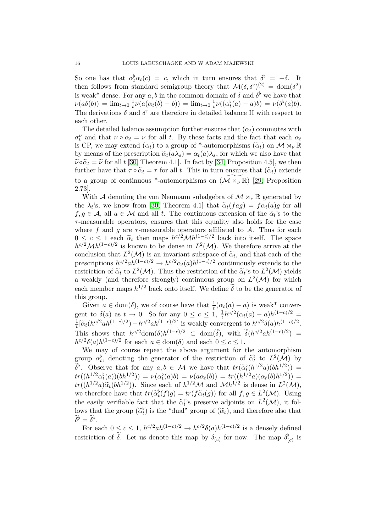So one has that  $\alpha_t^{\flat} \alpha_t(c) = c$ , which in turn ensures that  $\delta^{\flat} = -\delta$ . It then follows from standard semigroup theory that  $\mathcal{M}(\delta, \delta^{\flat})^{(2)} = \text{dom}(\delta^2)$ is weak\* dense. For any  $a, b$  in the common domain of  $\delta$  and  $\delta^{\flat}$  we have that  $\nu(a\delta(b)) = \lim_{t\to 0} \frac{1}{t}$  $\frac{1}{t}\nu(a(\alpha_t(b)-b)) = \lim_{t\to 0} \frac{1}{t}$  $\frac{1}{t}\nu((\alpha_t^{\flat}(a)-a)b)=\nu(\delta^{\flat}(a)b).$ The derivations  $\delta$  and  $\delta^{\flat}$  are therefore in detailed balance II with respect to each other.

The detailed balance assumption further ensures that  $(\alpha_t)$  commutes with  $\sigma_t^{\nu}$  and that  $\nu \circ \alpha_t = \nu$  for all t. By these facts and the fact that each  $\alpha_t$ is CP, we may extend  $(\alpha_t)$  to a group of \*-automorphisms  $(\widetilde{\alpha}_t)$  on  $\mathcal{M} \rtimes_{\nu} \mathbb{R}$ by means of the prescription  $\tilde{\alpha}_t(a\lambda_s) = \alpha_t(a)\lambda_s$ , for which we also have that  $\widetilde{\nu} \circ \widetilde{\alpha}_t = \widetilde{\nu}$  for all t [\[30,](#page-30-15) Theorem 4.1]. In fact by [\[34,](#page-30-18) Proposition 4.5], we then further have that  $\tau \circ \tilde{\alpha}_t = \tau$  for all t. This in turn ensures that  $(\tilde{\alpha}_t)$  extends to a group of continuous \*-automorphisms on  $(\mathcal{M} \rtimes_{\nu} \mathbb{R})$  [\[29,](#page-30-12) Proposition 2.73].

With A denoting the von Neumann subalgebra of  $\mathcal{M} \rtimes_{\nu} \mathbb{R}$  generated by the  $\lambda_t$ 's, we know from [\[30,](#page-30-15) Theorem 4.1] that  $\tilde{\alpha}_t(fag) = f \alpha_t(a)g$  for all<br> $f \in \mathcal{F}$  and all to  $\mathcal{F}$ . The continuous ortaining of the  $\tilde{\gamma}$  is to the  $f, g \in \mathcal{A}$ , all  $a \in \mathcal{M}$  and all t. The continuous extension of the  $\tilde{\alpha}_t$ 's to the  $\tau$ -measurable operators, ensures that this equality also holds for the case where f and g are  $\tau$ -measurable operators affiliated to A. Thus for each  $0 \leq c \leq 1$  each  $\tilde{\alpha}_t$  then maps  $h^{c/2} \mathcal{M} h^{(1-c)/2}$  back into itself. The space  $h^{c/2}Mh^{(1-c)/2}$  is known to be dense in  $L^2(\mathcal{M})$ . We therefore arrive at the conclusion that  $L^2(\mathcal{M})$  is an invariant subspace of  $\tilde{\alpha}_t$ , and that each of the prescriptions  $h^{c/2}ah^{(1-c)/2} \to h^{c/2}\alpha_t(a)h^{(1-c)/2}$  continuously extends to the restriction of  $\tilde{\alpha}_t$  to  $L^2(\mathcal{M})$ . Thus the restriction of the  $\tilde{\alpha}_t$ 's to  $L^2(\mathcal{M})$  yields a weakly (and therefore strongly) continuous group on  $L^2(\mathcal{M})$  for which each member maps  $h^{1/2}$  back onto itself. We define  $\delta$  to be the generator of this group.

Given  $a \in \text{dom}(\delta)$ , we of course have that  $\frac{1}{t}(\alpha_t(a) - a)$  is weak\* convergent to  $\delta(a)$  as  $t \to 0$ . So for any  $0 \le c \le 1$ ,  $\frac{1}{t} h^{c/2} (\alpha_t(a) - a) h^{(1-c)/2} =$  $\frac{1}{t} [\widetilde{\alpha}_t (h^{c/2}ah^{(1-c)/2}) - h^{c/2}ah^{(1-c)/2}]$  is weakly convergent to  $h^{c/2}\delta(a)h^{(1-c)/2}$ . t This shows that  $h^{c/2}$ dom $(\delta)h^{(1-c)/2} \subset \text{dom}(\delta)$ , with  $\delta(h^{c/2}ah^{(1-c)/2}) =$  $h^{c/2}\delta(a)h^{(1-c)/2}$  for each  $a \in \text{dom}(\delta)$  and each  $0 \leq c \leq 1$ .

We may of course repeat the above argument for the automorphism group  $\alpha_t^{\flat}$ , denoting the generator of the restriction of  $\tilde{\alpha}_t^{\flat}$  to  $L^2(\mathcal{M})$  by  $\delta^b$ . Observe that for any  $a, b \in \mathcal{M}$  we have that  $tr(\tilde{\alpha}_k^b(h^{1/2}a)(bh^{1/2})) =$  $tr((h^{1/2}\alpha_t^{\flat}(a))(bh^{1/2})) = \nu(\alpha_t^{\flat}(a)b) = \nu(a\alpha_t(b)) = tr((h^{1/2}a)(\alpha_t(b)h^{1/2})) =$  $tr((h^{1/2}a)\tilde{\alpha}_t(bh^{1/2}))$ . Since each of  $h^{1/2}M$  and  $Mh^{1/2}$  is dense in  $L^2(\mathcal{M})$ , we therefore have that  $tr(\tilde{\alpha}_t^{\flat}(f)g) = tr(f\tilde{\alpha}_t(g))$  for all  $f, g \in L^2(\mathcal{M})$ . Using the easily verifiable fact that the  $\tilde{\alpha}_t^{\flat}$ 's preserve adjoints on  $L^2(\mathcal{M})$ , it follows that the group  $(\widetilde{\alpha}_t)$  is the "dual" group of  $(\widetilde{\alpha}_t)$ , and therefore also that  $\widetilde{\delta}^{\flat} = \widetilde{\delta}^*.$ 

For each  $0 \leq c \leq 1$ ,  $h^{c/2}ah^{(1-c)/2} \to h^{c/2}\delta(a)h^{(1-c)/2}$  is a densely defined restriction of  $\tilde{\delta}$ . Let us denote this map by  $\delta_{(c)}$  for now. The map  $\delta_{(c)}^{\flat}$  is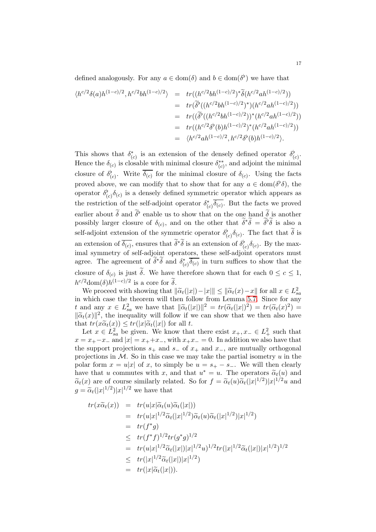defined analogously. For any  $a \in \text{dom}(\delta)$  and  $b \in \text{dom}(\delta^{\flat})$  we have that

$$
\langle h^{c/2}\delta(a)h^{(1-c)/2}, h^{c/2}bh^{(1-c)/2}\rangle = tr((h^{c/2}bh^{(1-c)/2})^*\tilde{\delta}(h^{c/2}ah^{(1-c)/2}))
$$
  
\n
$$
= tr(\tilde{\delta}^{\flat}((h^{c/2}bh^{(1-c)/2})^*)(h^{c/2}ah^{(1-c)/2}))
$$
  
\n
$$
= tr(\tilde{\delta}^{\flat}((h^{c/2}bh^{(1-c)/2}))^*(h^{c/2}ah^{(1-c)/2}))
$$
  
\n
$$
= tr((h^{c/2}\delta^{\flat}(b)h^{(1-c)/2})^*(h^{c/2}ah^{(1-c)/2}))
$$
  
\n
$$
= \langle h^{c/2}ah^{(1-c)/2}, h^{c/2}\delta^{\flat}(b)h^{(1-c)/2}\rangle.
$$

This shows that  $\delta_{(c)}^*$  is an extension of the densely defined operator  $\delta_{(c)}^{\flat}$ . Hence the  $\delta_{(c)}$  is closable with minimal closure  $\delta_{(c)}^{**}$ , and adjoint the minimal closure of  $\delta^{\flat}_{(c)}$ . Write  $\overline{\delta_{(c)}}$  for the minimal closure of  $\delta_{(c)}$ . Using the facts proved above, we can modify that to show that for any  $a \in \text{dom}(\delta^{\flat}\delta)$ , the operator  $\delta^{\flat}_{(c)}\delta_{(c)}$  is a densely defined symmetric operator which appears as the restriction of the self-adjoint operator  $\delta^*_{(c)}\overline{\delta_{(c)}}$ . But the facts we proved earlier about  $\delta$  and  $\delta^{\flat}$  enable us to show that on the one hand  $\delta$  is another possibly larger closure of  $\delta_{(c)}$ , and on the other that  $\tilde{\delta}^*\tilde{\delta} = \tilde{\delta}^{\flat}\tilde{\delta}$  is also a self-adjoint extension of the symmetric operator  $\delta^{\flat}_{(c)}\delta_{(c)}$ . The fact that  $\delta$  is an extension of  $\overline{\delta_{(c)}}$ , ensures that  $\delta^*\delta$  is an extension of  $\delta_{(c)}^{\flat}\delta_{(c)}$ . By the maximal symmetry of self-adjoint operators, these self-adjoint operators must agree. The agreement of  $\delta^* \delta$  and  $\delta^*_{(c)} \overline{\delta_{(c)}}$  in turn suffices to show that the closure of  $\delta_{(c)}$  is just  $\delta$ . We have therefore shown that for each  $0 \leq c \leq 1$ ,  $h^{c/2}$ dom $(\delta)h^{(1-c)/2}$  is a core for  $\widetilde{\delta}$ .

We proceed with showing that  $\|\widetilde{\alpha}_t(|x|)-|x\| \le \|\widetilde{\alpha}_t(x)-x\|$  for all  $x \in L_{sa}^2$ <br>which asso the theorem will then follow from I emma 5.7. Since for emin which case the theorem will then follow from Lemma [5.7.](#page-14-1) Since for any t and any  $x \in L^2_{sa}$  we have that  $\|\widetilde{\alpha}_t(|x|)\|^2 = tr(\widetilde{\alpha}_t(|x|)^2) = tr(\widetilde{\alpha}_t(x)^2) =$  $\|\widetilde{\alpha}_t(x)\|^2$ , the inequality will follow if we can show that we then also have that  $tr(x\widetilde{\alpha}_t(x)) \leq tr(|x|\widetilde{\alpha}_t(|x|)$  for all t.

Let  $x \in L_{sa}^2$  be given. We know that there exist  $x_+, x_- \in L^2_+$  such that  $x = x_{+} - x_{-}$  and  $|x| = x_{+} + x_{-}$ , with  $x_{+}x_{-} = 0$ . In addition we also have that the support projections  $s_+$  and  $s_-$  of  $x_+$  and  $x_-$ , are mutually orthogonal projections in  $M$ . So in this case we may take the partial isometry  $u$  in the polar form  $x = u|x|$  of x, to simply be  $u = s_{+} - s_{-}$ . We will then clearly have that u commutes with x, and that  $u^* = u$ . The operators  $\tilde{\alpha}_t(u)$  and  $\tilde{\alpha}_t(u)$  $\tilde{\alpha}_t(x)$  are of course similarly related. So for  $f = \tilde{\alpha}_t(u)\tilde{\alpha}_t(|x|^{1/2})|x|^{1/2}u$  and  $g = \tilde{\alpha}_t(|x|^{1/2})|x|^{1/2}$  we have that

$$
tr(x\tilde{\alpha}_t(x)) = tr(u|x|\tilde{\alpha}_t(u)\tilde{\alpha}_t(|x|))
$$
  
\n
$$
= tr(u|x|^{1/2}\tilde{\alpha}_t(|x|^{1/2})\tilde{\alpha}_t(u)\tilde{\alpha}_t(|x|^{1/2})|x|^{1/2})
$$
  
\n
$$
= tr(f^*g)
$$
  
\n
$$
\leq tr(f^*f)^{1/2}tr(g^*g)^{1/2}
$$
  
\n
$$
= tr(u|x|^{1/2}\tilde{\alpha}_t(|x|)|x|^{1/2}u)^{1/2}tr(|x|^{1/2}\tilde{\alpha}_t(|x|)|x|^{1/2})^{1/2}
$$
  
\n
$$
\leq tr(|x|^{1/2}\tilde{\alpha}_t(|x|)|x|^{1/2})
$$
  
\n
$$
= tr(|x|\tilde{\alpha}_t(|x|)).
$$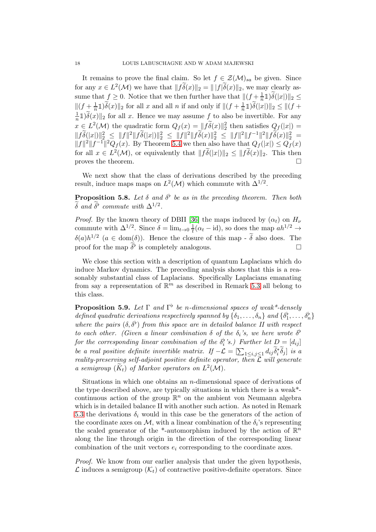It remains to prove the final claim. So let  $f \in \mathcal{Z}(\mathcal{M})_{sa}$  be given. Since for any  $x \in L^2(\mathcal{M})$  we have that  $||f \tilde{\delta}(x)||_2 = ||f| \tilde{\delta}(x)||_2$ , we may clearly assume that  $f \geq 0$ . Notice that we then further have that  $|| (f + \frac{1}{n})||$  $\frac{1}{n}1\,\delta(|x|)\|_2\leq$  $||(f + \frac{1}{n}1)\tilde{\delta}(x)||_2$  for all x and all n if and only if  $||(f + \frac{1}{n}1)\tilde{\delta}(|x|)||_2 \leq ||(f +$ 1  $\frac{1}{n}\mathbb{1}\delta(x)\|_{2}$  for all x. Hence we may assume  $f$  to also be invertible. For any  $x \in L^2(\mathcal{M})$  the quadratic form  $Q_f(x) = ||\tilde{f}\tilde{\delta}(x)||_2^2$  then satisfies  $Q_f(|x|) =$  $||f\delta(|x|)||_2^2 \le ||f||^2||f\delta(|x|)||_2^2 \le ||f||^2||f\delta(x)||_2^2 \le ||f||^2||f^{-1}||_2^2||f\delta(x)||_2^2 =$  $||f||^2||f^{-1}||^2Q_f(x)$ . By Theorem [5.4](#page-13-0) we then also have that  $Q_f(|x|) \leq Q_f(x)$ for all  $x \in L^2(\mathcal{M})$ , or equivalently that  $||f\delta(|x|)||_2 \leq ||f\delta(x)||_2$ . This then proves the theorem.

We next show that the class of derivations described by the preceding result, induce maps maps on  $L^2(\mathcal{M})$  which commute with  $\Delta^{1/2}$ .

<span id="page-17-0"></span>**Proposition 5.8.** Let  $\delta$  and  $\delta^{\flat}$  be as in the preceding theorem. Then both  $\delta$  and  $\delta^{\flat}$  commute with  $\Delta^{1/2}$ .

*Proof.* By the known theory of DBII [\[36\]](#page-30-17) the maps induced by  $(\alpha_t)$  on  $H_{\nu}$ commute with  $\Delta^{1/2}$ . Since  $\delta = \lim_{t\to 0} \frac{1}{t}$  $\frac{1}{t}(\alpha_t - \text{id})$ , so does the map  $ah^{1/2} \to$  $\delta(a)h^{1/2}$   $(a \in \text{dom}(\delta))$ . Hence the closure of this map -  $\delta$  also does. The proof for the map  $\tilde{\delta}^{\flat}$  is completely analogous.

We close this section with a description of quantum Laplacians which do induce Markov dynamics. The preceding analysis shows that this is a reasonably substantial class of Laplacians. Specifically Laplacians emanating from say a representation of  $\mathbb{R}^m$  as described in Remark [5.3](#page-12-1) all belong to this class.

<span id="page-17-1"></span>**Proposition 5.9.** Let  $\Gamma$  and  $\Gamma^{\flat}$  be n-dimensional spaces of weak\*-densely defined quadratic derivations respectively spanned by  $\{\delta_1,\ldots,\delta_n\}$  and  $\{\delta_1^{\flat},\ldots,\delta_n^{\flat}\}$ where the pairs  $(\delta, \delta^{\flat})$  from this space are in detailed balance II with respect to each other. (Given a linear combination  $\delta$  of the  $\delta_i$ 's, we here wrote  $\delta^{\flat}$ for the corresponding linear combination of the  $\delta_i^{\flat}$ 's.) Further let  $D = [d_{ij}]$ be a real positive definite invertible matrix. If  $-\mathcal{L} = [\sum_{1 \leq i,j \leq 1} d_{ij} \tilde{\delta}_i^* \tilde{\delta}_j]$  is a reality-preserving self-adjoint positive definite operator, then  $\mathcal{L}$  will generate a semigroup  $(K_t)$  of Markov operators on  $L^2(\mathcal{M})$ .

Situations in which one obtains an n-dimensional space of derivations of the type described above, are typically situations in which there is a weak\* continuous action of the group  $\mathbb{R}^n$  on the ambient von Neumann algebra which is in detailed balance II with another such action. As noted in Remark [5.3](#page-12-1) the derivations  $\delta_i$  would in this case be the generators of the action of the coordinate axes on M, with a linear combination of the  $\delta_i$ 's representing the scaled generator of the \*-automorphism induced by the action of  $\mathbb{R}^n$ along the line through origin in the direction of the corresponding linear combination of the unit vectors  $e_i$  corresponding to the coordinate axes.

Proof. We know from our earlier analysis that under the given hypothesis,  $\mathcal L$  induces a semigroup  $(\mathcal K_t)$  of contractive positive-definite operators. Since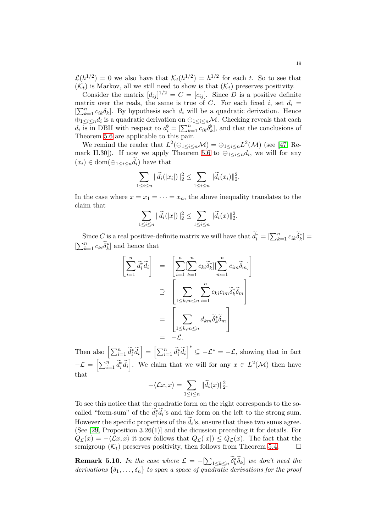$\mathcal{L}(h^{1/2}) = 0$  we also have that  $\mathcal{K}_t(h^{1/2}) = h^{1/2}$  for each t. So to see that  $(\mathcal{K}_t)$  is Markov, all we still need to show is that  $(\mathcal{K}_t)$  preserves positivity.

Consider the matrix  $[d_{ij}]^{1/2} = C = [c_{ij}]$ . Since D is a positive definite matrix over the reals, the same is true of C. For each fixed i, set  $d_i =$  $[\sum_{k=1}^{n} c_{ik}\delta_k]$ . By hypothesis each  $d_i$  will be a quadratic derivation. Hence  $\bigoplus_{1 \leq i \leq n} d_i$  is a quadratic derivation on  $\bigoplus_{1 \leq i \leq n} M$ . Checking reveals that each  $d_i$  is in DBII with respect to  $d_i^{\flat} = [\sum_{k=1}^n c_{ik} \delta_k^{\flat}]$ , and that the conclusions of Theorem [5.6](#page-14-0) are applicable to this pair.

We remind the reader that  $L^2(\oplus_{1\leq i\leq n}M)=\oplus_{1\leq i\leq n}L^2(M)$  (see [\[47,](#page-31-7) Re-mark II.30]). If now we apply Theorem [5.6](#page-14-0) to  $\bigoplus_{1 \leq i \leq n} d_i$ , we will for any  $(x_i) \in \text{dom}(\bigoplus_{1 \leq i \leq n} d_i)$  have that

$$
\sum_{1 \leq i \leq n} \|\widetilde{d}_i(|x_i|)\|_2^2 \leq \sum_{1 \leq i \leq n} \|\widetilde{d}_i(x_i)\|_2^2.
$$

In the case where  $x = x_1 = \cdots = x_n$ , the above inequality translates to the claim that

$$
\sum_{1 \le i \le n} \|\widetilde{d}_i(|x|)\|_2^2 \le \sum_{1 \le i \le n} \|\widetilde{d}_i(x)\|_2^2.
$$

Since C is a real positive-definite matrix we will have that  $\widetilde{d}_i^* = [\sum_{k=1}^n c_{ik} \widetilde{\delta}_k^*] =$  $[\sum_{k=1}^{n} c_{ki} \widetilde{\delta}_k^*]$  and hence that

$$
\begin{aligned}\n\left[\sum_{i=1}^{n} \tilde{d}_{i}^{*} \tilde{d}_{i}\right] &= \left[\sum_{i=1}^{n} \sum_{k=1}^{n} c_{ki} \tilde{\delta}_{k}^{*} \right] \left[\sum_{m=1}^{n} c_{im} \tilde{\delta}_{m}\right] \\
&\geq \left[\sum_{1 \leq k, m \leq n} \sum_{i=1}^{n} c_{ki} c_{im} \tilde{\delta}_{k}^{*} \tilde{\delta}_{m}\right] \\
&= \left[\sum_{1 \leq k, m \leq n} d_{km} \tilde{\delta}_{k}^{*} \tilde{\delta}_{m}\right] \\
&= -\mathcal{L}.\n\end{aligned}
$$

Then also  $\left[\sum_{i=1}^n \tilde{d}_i^* \tilde{d}_i\right] = \left[\sum_{i=1}^n \tilde{d}_i^* \tilde{d}_i\right]^* \subseteq -\mathcal{L}^* = -\mathcal{L}$ , showing that in fact  $-\mathcal{L} = \left[\sum_{i=1}^n \tilde{d}_i^* \tilde{d}_i\right]$ . We claim that we will for any  $x \in L^2(\mathcal{M})$  then have that

$$
-\langle \mathcal{L}x, x \rangle = \sum_{1 \leq i \leq n} \|\widetilde{d}_i(x)\|_2^2.
$$

To see this notice that the quadratic form on the right corresponds to the socalled "form-sum" of the  $\tilde{d}_i^*\tilde{d}_i$ 's and the form on the left to the strong sum. However the specific properties of the  $d_i$ 's, ensure that these two sums agree. (See [\[29,](#page-30-12) Proposition 3.26(1)] and the dicussion preceding it for details. For  $Q_{\mathcal{L}}(x) = -\langle \mathcal{L}x, x \rangle$  it now follows that  $Q_{\mathcal{L}}(x) \leq Q_{\mathcal{L}}(x)$ . The fact that the semigroup  $(\mathcal{K}_t)$  preserves positivity, then follows from Theorem [5.4.](#page-13-0)

**Remark 5.10.** In the case where  $\mathcal{L} = -[\sum_{1 \leq k \leq n} \tilde{\delta}_k^* \tilde{\delta}_k]$  we don't need the derivations  $\{\delta_1,\ldots,\delta_n\}$  to span a space of quadratic derivations for the proof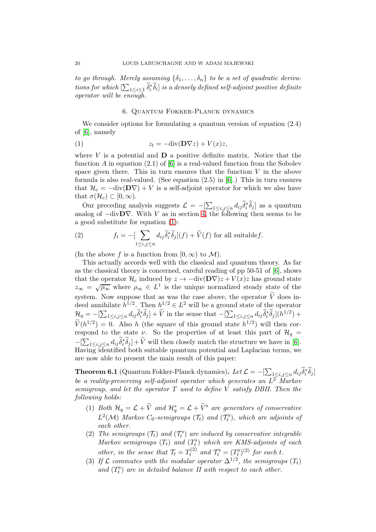to go through. Merely assuming  $\{\delta_1, \ldots, \delta_n\}$  to be a set of quadratic derivations for which  $[\sum_{1\leq i\leq 1} \widetilde{\delta}_i^* \widetilde{\delta}_i]$  is a densely defined self-adjoint positive definite operator will be enough.

#### <span id="page-19-2"></span>6. Quantum Fokker-Planck dynamics

<span id="page-19-0"></span>We consider options for formulating a quantum version of equation  $(2.4)$ of [\[6\]](#page-29-0), namely

(1) 
$$
z_t = -\text{div}(\mathbf{D}\nabla z) + V(x)z,
$$

where  $V$  is a potential and  $D$  a positive definite matrix. Notice that the function A in equation  $(2.1)$  of  $[6]$  is a real-valued function from the Sobolev space given there. This in turn ensures that the function  $V$  in the above formula is also real-valued. (See equation (2.5) in [\[6\]](#page-29-0).) This in turn ensures that  $\mathcal{H}_c = -\text{div}(\mathbf{D}\nabla) + V$  is a self-adjoint operator for which we also have that  $\sigma(\mathcal{H}_c) \subset [0,\infty)$ .

Our preceding analysis suggests  $\mathcal{L} = -[\sum_{1 \le i,j \le n} d_{ij} \tilde{\delta}_i^* \tilde{\delta}_j]$  as a quantum analog of  $-\text{div}D\nabla$ . With V as in section [4,](#page-7-0) the following then seems to be a good substitute for equation [\(1\)](#page-19-2):

(2) 
$$
f_t = -\left[\sum_{1 \le i,j \le n} d_{ij} \widetilde{\delta}_i^* \widetilde{\delta}_j\right](f) + \widetilde{V}(f) \text{ for all suitable } f.
$$

(In the above f is a function from  $[0, \infty)$  to M).

This actually accords well with the classical and quantum theory. As far as the classical theory is concerned, careful reading of pp 50-51 of [\[6\]](#page-29-0), shows that the operator  $\mathcal{H}_c$  induced by  $z \to -\text{div}(\mathbf{D}\nabla)z + V(x)z$  has ground state  $z_{\infty} = \sqrt{\rho_{\infty}}$  where  $\rho_{\infty} \in L^{1}$  is the unique normalized steady state of the system. Now suppose that as was the case above, the operator  $\widetilde{V}$  does indeed annihilate  $h^{1/2}$ . Then  $h^{1/2} \in L^2$  will be a ground state of the operator  $\mathcal{H}_q = -[\sum_{1 \leq i,j \leq n} d_{ij} \tilde{\delta}_i^* \tilde{\delta}_j] + \tilde{V}$  in the sense that  $-[\sum_{1 \leq i,j \leq n} d_{ij} \tilde{\delta}_i^* \tilde{\delta}_j](h^{1/2}) +$  $\widetilde{V}(h^{1/2}) = 0$ . Also h (the square of this ground state  $h^{1/2}$ ) will then correspond to the state  $\nu$ . So the properties of at least this part of  $\mathcal{H}_q$  =  $-[\sum_{1 \leq i,j \leq n} d_{ij} \tilde{\delta}_i^* \tilde{\delta}_j] + \tilde{V}$  will then closely match the structure we have in [\[6\]](#page-29-0). Having identified both suitable quantum potential and Laplacian terms, we are now able to present the main result of this paper:

<span id="page-19-1"></span>**Theorem 6.1** (Quantum Fokker-Planck dynamics). Let  $\mathcal{L} = -[\sum_{1 \leq i,j \leq n} d_{ij} \tilde{\delta}_i^* \tilde{\delta}_j]$ be a reality-preserving self-adjoint operator which generates an  $L^2$  Markov semigroup, and let the operator  $T$  used to define  $V$  satisfy DBII. Then the following holds:

- (1) Both  $\mathcal{H}_q = \mathcal{L} + \tilde{V}$  and  $\mathcal{H}_q^* = \mathcal{L} + \tilde{V}^{\flat}$  are generators of conservative  $L^2(\mathcal{M})$  Markov  $C_0$ -semigroups  $(\mathcal{T}_t)$  and  $(\mathcal{T}_t^{\flat})$ , which are adjoints of each other.
- (2) The semigroups  $(\mathcal{T}_t)$  and  $(\mathcal{T}_t^{\flat})$  are induced by conservative integrable Markov semigroups  $(T_t)$  and  $(T_t^{\flat})$  which are KMS-adjoints of each other, in the sense that  $\mathcal{T}_t = T_t^{(2)}$  $\mathcal{T}_t^{(2)}$  and  $\mathcal{T}_t^{\flat} = (T_t^{\flat})^{(2)}$  for each t.
- (3) If  $\mathcal L$  commutes with the modular operator  $\Delta^{1/2}$ , the semigroups  $(T_t)$ and  $(T_t^{\flat})$  are in detailed balance II with respect to each other.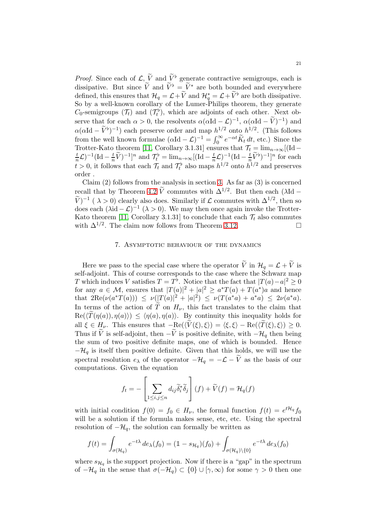*Proof.* Since each of  $\mathcal{L}, \tilde{V}$  and  $\tilde{V}^{\flat}$  generate contractive semigroups, each is dissipative. But since  $\widetilde{V}$  and  $\widetilde{V}^{\flat} = \widetilde{V}^*$  are both bounded and everywhere defined, this ensures that  $\mathcal{H}_q = \mathcal{L} + \tilde{V}$  and  $\mathcal{H}_q^* = \mathcal{L} + \tilde{V}^{\flat}$  are both dissipative. So by a well-known corollary of the Lumer-Philips theorem, they generate  $C_0$ -semigroups  $(\mathcal{T}_t)$  and  $(\mathcal{T}_t^{\flat})$ , which are adjoints of each other. Next observe that for each  $\alpha > 0$ , the resolvents  $\alpha(\alpha Id - \mathcal{L})^{-1}$ ,  $\alpha(\alpha Id - \tilde{V})^{-1}$  and  $\alpha(\alpha Id - \tilde{V}^{\flat})^{-1}$ ) each preserve order and map  $h^{1/2}$  onto  $h^{1/2}$ . (This follows from the well known formulae  $(\alpha \text{Id} - \mathcal{L})^{-1} = \int_0^\infty e^{-\alpha t} \widetilde{K}_t dt$ , etc.) Since the Trotter-Kato theorem [\[11,](#page-30-9) Corollary 3.1.31] ensures that  $\mathcal{T}_t = \lim_{n \to \infty} [(\text{Id} - t)^{-1} (\text{Id} - t)^{-1}]$  for each  $(\frac{t}{n}\mathcal{L})^{-1}(\text{Id}-\frac{t}{n}\widetilde{V})^{-1}]^n$  and  $\mathcal{T}_t^{\flat}=\lim_{n\to\infty}[(\text{Id}-\frac{t}{n}\mathcal{L})^{-1}(\text{Id}-\frac{t}{n}\widetilde{V}^{\flat})^{-1}]^n$  for each  $t > 0$ , it follows that each  $\mathcal{T}_t$  and  $\mathcal{T}_t^{\flat}$  also maps  $h^{1/2}$  onto  $h^{1/2}$  and preserves order .

Claim  $(2)$  follows from the analysis in section [3.](#page-3-1) As far as  $(3)$  is concerned recall that by Theorem [4.2](#page-8-0)  $\tilde{V}$  commutes with  $\Delta^{1/2}$ . But then each ( $\lambda$ Id –  $(V)^{-1}$  ( $\lambda > 0$ ) clearly also does. Similarly if  $\mathcal L$  commutes with  $\Delta^{1/2}$ , then so does each  $(\lambda id - \mathcal{L})^{-1}$   $(\lambda > 0)$ . We may then once again invoke the Trotter-Kato theorem [\[11,](#page-30-9) Corollary 3.1.31] to conclude that each  $\mathcal{T}_t$  also commutes with  $\Delta^{1/2}$ . The claim now follows from Theorem 3.12. with  $\Delta^{1/2}$ . The claim now follows from Theorem [3.12.](#page-6-0)

### 7. Asymptotic behaviour of the dynamics

<span id="page-20-0"></span>Here we pass to the special case where the operator  $\tilde{V}$  in  $\mathcal{H}_q = \mathcal{L} + \tilde{V}$  is self-adjoint. This of course corresponds to the case where the Schwarz map T which induces V satisfies  $T = T^{\flat}$ . Notice that the fact that  $|T(a) - a|^2 \ge 0$ for any  $a \in \mathcal{M}$ , ensures that  $|T(a)|^2 + |a|^2 \ge a^*T(a) + T(a^*)a$  and hence that  $2\text{Re}(\nu(a^*T(a))) \leq \nu(|T(a)|^2 + |a|^2) \leq \nu(T(a^*a) + a^*a) \leq 2\nu(a^*a)$ . In terms of the action of  $\tilde{T}$  on  $H_{\nu}$ , this fact translates to the claim that  $\text{Re}(\langle \widetilde{T}(\eta(a)), \eta(a)\rangle) \leq \langle \eta(a), \eta(a)\rangle$ . By continuity this inequality holds for all  $\xi \in H_{\nu}$ . This ensures that  $-\text{Re}(\langle \widetilde{V}(\xi), \xi \rangle) = \langle \xi, \xi \rangle - \text{Re}(\langle \widetilde{T}(\xi), \xi \rangle) \geq 0$ . Thus if  $\tilde{V}$  is self-adjoint, then  $-\tilde{V}$  is positive definite, with  $-\mathcal{H}_q$  then being the sum of two positive definite maps, one of which is bounded. Hence  $-\mathcal{H}_q$  is itself then positive definite. Given that this holds, we will use the spectral resolution  $e_{\lambda}$  of the operator  $-\mathcal{H}_q = -\mathcal{L} - \widetilde{V}$  as the basis of our computations. Given the equation

$$
f_t = -\left[\sum_{1 \le i,j \le n} d_{ij} \tilde{\delta}_i^* \tilde{\delta}_j\right](f) + \tilde{V}(f) = \mathcal{H}_q(f)
$$

with initial condition  $f(0) = f_0 \in H_{\nu}$ , the formal function  $f(t) = e^{t\mathcal{H}_q} f_0$ will be a solution if the formula makes sense, etc, etc. Using the spectral resolution of  $-\mathcal{H}_q$ , the solution can formally be written as

$$
f(t) = \int_{\sigma(\mathcal{H}_q)} e^{-t\lambda} \, de_\lambda(f_0) = (1 - s_{\mathcal{H}_q})(f_0) + \int_{\sigma(\mathcal{H}_q) \setminus \{0\}} e^{-t\lambda} \, de_\lambda(f_0)
$$

where  $s_{\mathcal{H}_q}$  is the support projection. Now if there is a "gap" in the spectrum of  $-\mathcal{H}_q$  in the sense that  $\sigma(-\mathcal{H}_q) \subset \{0\} \cup [\gamma,\infty)$  for some  $\gamma > 0$  then one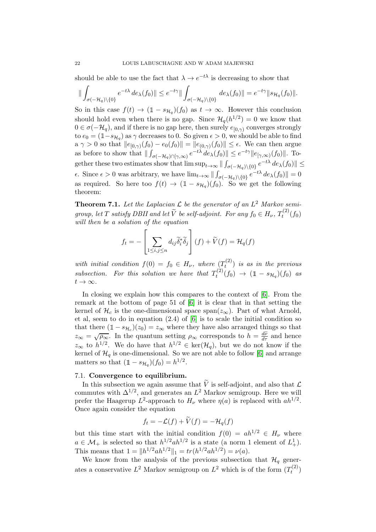should be able to use the fact that  $\lambda \to e^{-t\lambda}$  is decreasing to show that

$$
\|\int_{\sigma(-\mathcal{H}_q)\setminus\{0\}}e^{-t\lambda}\,de_\lambda(f_0)\|\leq e^{-t\gamma}\|\int_{\sigma(-\mathcal{H}_q)\setminus\{0\}}\,de_\lambda(f_0)\| = e^{-t\gamma}\|s_{\mathcal{H}_q}(f_0)\|.
$$

So in this case  $f(t) \to (1 - s_{\mathcal{H}_q})(f_0)$  as  $t \to \infty$ . However this conclusion should hold even when there is no gap. Since  $\mathcal{H}_q(h^{1/2}) = 0$  we know that  $0 \in \sigma(-\mathcal{H}_q)$ , and if there is no gap here, then surely  $e_{[0,\gamma)}$  converges strongly to  $e_0 = (1 - s_{\mathcal{H}_q})$  as  $\gamma$  decreases to 0. So given  $\epsilon > 0$ , we should be able to find  $a \gamma > 0$  so that  $||e_{[0,\gamma)}(f_0) - e_0(f_0)|| = ||e_{(0,\gamma)}(f_0)|| \le \epsilon$ . We can then argue as before to show that  $\|\int_{\sigma(-\mathcal{H}_q)\cap[\gamma,\infty)}e^{-t\lambda} de_{\lambda}(f_0)\| \leq e^{-t\gamma}\|e_{[\gamma,\infty)}(f_0)\|.$  Together these two estimates show that  $\limsup_{t\to\infty} \| \int_{\sigma(-\mathcal{H}_q)\setminus\{0\}} e^{-t\lambda} d e_\lambda(f_0) \| \leq$  $\epsilon$ . Since  $\epsilon > 0$  was arbitrary, we have lim<sub>t→∞</sub>  $|| \int_{\sigma(-\mathcal{H}_q) \setminus \{0\}} e^{-t\lambda} d e_{\lambda}(f_0) || = 0$ as required. So here too  $f(t) \to (1 - s_{\mathcal{H}_q})(f_0)$ . So we get the following theorem:

**Theorem 7.1.** Let the Laplacian  $\mathcal L$  be the generator of an  $L^2$  Markov semigroup, let T satisfy DBII and let  $\widetilde{V}$  be self-adjoint. For any  $f_0 \in H_{\nu}$ ,  $T_t^{(2)}$  $t^{(2)}(f_0)$ will then be a solution of the equation

$$
f_t = -\left[\sum_{1 \le i,j \le n} d_{ij} \tilde{\delta}_i^* \tilde{\delta}_j\right](f) + \tilde{V}(f) = \mathcal{H}_q(f)
$$

with initial condition  $f(0) = f_0 \in H_{\nu}$ , where  $(T_t^{(2)})$  $(t^{(2)}_t)$  is as in the previous subsection. For this solution we have that  $T_t^{(2)}$  $(t_0^{(2)}(f_0) \rightarrow (1 - s_{\mathcal{H}_q})(f_0)$  as  $t\to\infty$ .

In closing we explain how this compares to the context of [\[6\]](#page-29-0). From the remark at the bottom of page 51 of [\[6\]](#page-29-0) it is clear that in that setting the kernel of  $\mathcal{H}_c$  is the one-dimensional space span $(z_\infty)$ . Part of what Arnold, et al, seem to do in equation (2.4) of [\[6\]](#page-29-0) is to scale the initial condition so that there  $(1 - s_{\mathcal{H}_c})(z_0) = z_{\infty}$  where they have also arranged things so that  $z_{\infty} = \sqrt{\rho_{\infty}}$ . In the quantum setting  $\rho_{\infty}$  corresponds to  $h = \frac{d\tilde{\nu}}{d\tau}$  and hence  $z_{\infty}$  to  $h^{1/2}$ . We do have that  $h^{1/2} \in \text{ker}(\mathcal{H}_q)$ , but we do not know if the kernel of  $\mathcal{H}_q$  is one-dimensional. So we are not able to follow [\[6\]](#page-29-0) and arrange matters so that  $(1 - s_{\mathcal{H}_q})(f_0) = h^{1/2}$ .

### <span id="page-21-0"></span>7.1. Convergence to equilibrium.

In this subsection we again assume that  $\widetilde{V}$  is self-adjoint, and also that  $\mathcal L$ commutes with  $\Delta^{1/2}$ , and generates an  $L^2$  Markov semigroup. Here we will prefer the Haagerup  $L^2$ -approach to  $H_{\nu}$  where  $\eta(a)$  is replaced with  $ah^{1/2}$ . Once again consider the equation

$$
f_t = -\mathcal{L}(f) + \dot{V}(f) = -\mathcal{H}_q(f)
$$

but this time start with the initial condition  $f(0) = ah^{1/2} \in H_{\nu}$  where  $a \in \mathcal{M}_+$  is selected so that  $h^{1/2}ah^{1/2}$  is a state (a norm 1 element of  $L^1_+$ ). This means that  $1 = ||h^{1/2}ah^{1/2}||_1 = tr(h^{1/2}ah^{1/2}) = \nu(a)$ .

We know from the analysis of the previous subsection that  $\mathcal{H}_q$  generates a conservative  $L^2$  Markov semigroup on  $L^2$  which is of the form  $(T_t^{(2)})$  $\binom{1}{t}$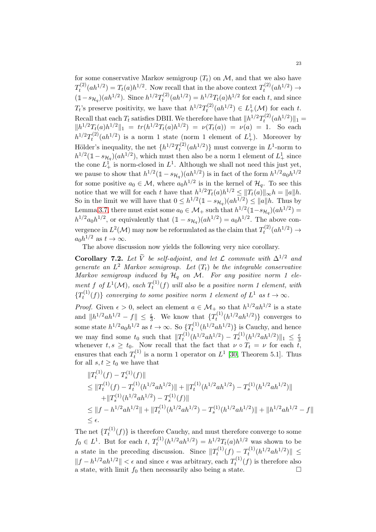for some conservative Markov semigroup  $(T_t)$  on  $\mathcal{M}$ , and that we also have  $T_t^{(2)}$  $t^{(2)}(ah^{1/2}) = T_t(a)h^{1/2}$ . Now recall that in the above context  $T_t^{(2)}$  $t^{(2)}(ah^{1/2}) \to$  $(1-s_{\mathcal{H}_q})(ah^{1/2})$ . Since  $h^{1/2}T_t^{(2)}$  $t^{(2)}_t(ah^{1/2}) = h^{1/2}T_t(a)h^{1/2}$  for each t, and since  $T_t$ 's preserve positivity, we have that  $h^{1/2}T_t^{(2)}$  $t^{(2)}(ah^{1/2}) \in L^1_+(\mathcal{M})$  for each t. Recall that each  $T_t$  satisfies DBII. We therefore have that  $||h^{1/2}T_t^{(2)}||$  $t^{(2)}(ah^{1/2})\|_1 =$  $\|h^{1/2}T_t(a)h^{1/2}\|_1 = tr(h^{1/2}T_t(a)h^{1/2}) = \nu(T_t(a)) = \nu(a) = 1.$  So each  $h^{1/2}T_t^{(2)}$  $t^{(2)}(ah^{1/2})$  is a norm 1 state (norm 1 element of  $L<sup>1</sup><sub>+</sub>$ ). Moreover by Hölder's inequality, the net  $\{h^{1/2}T_t^{(2)}\}$  $t^{(2)}(ah^{1/2})$ } must converge in  $L^1$ -norm to  $h^{1/2}(\mathbb{1}-s_{\mathcal{H}_q})(ah^{1/2}),$  which must then also be a norm 1 element of  $L^1_+$  since the cone  $L^1_+$  is norm-closed in  $L^1$ . Although we shall not need this just yet, we pause to show that  $h^{1/2}(\mathbb{1}-s_{\mathcal{H}_q})(ah^{1/2})$  is in fact of the form  $h^{1/2}a_0h^{1/2}$ for some positive  $a_0 \in \mathcal{M}$ , where  $a_0 h^{1/2}$  is in the kernel of  $\mathcal{H}_q$ . To see this notice that we will for each t have that  $h^{1/2}T_t(a)h^{1/2} \leq ||T_t(a)||_{\infty}h = ||a||h.$ So in the limit we will have that  $0 \leq h^{1/2}(\mathbb{1} - s_{\mathcal{H}_q})(ah^{1/2}) \leq ||a||h$ . Thus by Lemma [3.7,](#page-5-0) there must exist some  $a_0 \in \mathcal{M}_+$  such that  $h^{1/2}(\mathbb{1}-s_{\mathcal{H}_q})(ah^{1/2})=$  $h^{1/2}a_0h^{1/2}$ , or equivalently that  $(1-s_{\mathcal{H}_q})(ah^{1/2})=a_0h^{1/2}$ . The above convergence in  $L^2(\mathcal{M})$  may now be reformulated as the claim that  $T_t^{(2)}$  $t^{(2)}(ah^{1/2}) \to$  $a_0h^{1/2}$  as  $t\to\infty$ .

The above discussion now yields the following very nice corollary.

<span id="page-22-0"></span>Corollary 7.2. Let  $\widetilde{V}$  be self-adjoint, and let  $\mathcal L$  commute with  $\Delta^{1/2}$  and generate an  $L^2$  Markov semigroup. Let  $(T_t)$  be the integrable conservative Markov semigroup induced by  $\mathcal{H}_q$  on M. For any positive norm 1 element f of  $L^1(\mathcal{M})$ , each  $T_t^{(1)}$  $t^{(1)}(f)$  will also be a positive norm 1 element, with  $\{T_t^{(1)}\}$  $t^{(1)}(f)$  converging to some positive norm 1 element of  $L^1$  as  $t \to \infty$ .

*Proof.* Given  $\epsilon > 0$ , select an element  $a \in M_+$  so that  $h^{1/2}ah^{1/2}$  is a state and  $||h^{1/2}ah^{1/2} - f|| \leq \frac{\epsilon}{3}$ . We know that  $\{T_t^{(1)}\}$  $t^{(1)}(h^{1/2}ah^{1/2})\}$  converges to some state  $h^{1/2}a_0h^{1/2}$  as  $t\to\infty$ . So  $\left(T_t^{(1)}\right)$  $(t^{(1)}(h^{1/2}ah^{1/2})\})$  is Cauchy, and hence we may find some  $t_0$  such that  $||T_t^{(1)}||$  $T_t^{(1)}(h^{1/2}ah^{1/2}) - T_s^{(1)}(h^{1/2}ah^{1/2})$   $||_1 \leq \frac{\epsilon}{3}$ we may not some  $\iota_0$  such that  $\|\mu_t\|$  ( $\iota_0$  and  $\iota_j$ )  $\iota_s$  ( $\iota_t$  and  $\iota_j$ )  $\|\iota\| \leq \iota_3$ <br>whenever  $t, s \geq t_0$ . Now recall that the fact that  $\nu \circ T_t = \nu$  for each  $t$ , ensures that each  $T_t^{(1)}$  $t_t^{(1)}$  is a norm 1 operator on  $L^1$  [\[30,](#page-30-15) Theorem 5.1]. Thus for all  $s, t \geq t_0$  we have that

$$
\label{eq:2.1} \begin{split} &\|T^{(1)}_t(f)-T^{(1)}_s(f)\|\\ &\leq \|T^{(1)}_t(f)-T^{(1)}_t(h^{1/2}ah^{1/2})\|+\|T^{(1)}_t(h^{1/2}ah^{1/2})-T^{(1)}_s(h^{1/2}ah^{1/2})\|\\ &\qquad \qquad +\|T^{(1)}_s(h^{1/2}ah^{1/2})-T^{(1)}_s(f)\|\\ &\leq \|f-h^{1/2}ah^{1/2}\|+\|T^{(1)}_t(h^{1/2}ah^{1/2})-T^{(1)}_s(h^{1/2}ah^{1/2})\|+\|h^{1/2}ah^{1/2}-f\|\\ &\leq \epsilon. \end{split}
$$

The net  $\{T_t^{(1)}\}$  $(t^{(1)}(f))$  is therefore Cauchy, and must therefore converge to some  $f_0 \in L^1$ . But for each  $t, T_t^{(1)}$  $t^{(1)}(h^{1/2}ah^{1/2}) = h^{1/2}T_t(a)h^{1/2}$  was shown to be a state in the preceding discussion. Since  $||T_t^{(1)}||$  $T_t^{(1)}(f) - T_t^{(1)}$  $\|t^{(1)}(h^{1/2}ah^{1/2})\| \leq$  $||f - h^{1/2}ah^{1/2}|| < \epsilon$  and since  $\epsilon$  was arbitrary, each  $T_t^{(1)}$  $t^{(1)}(f)$  is therefore also a state, with limit  $f_0$  then necessarily also being a state.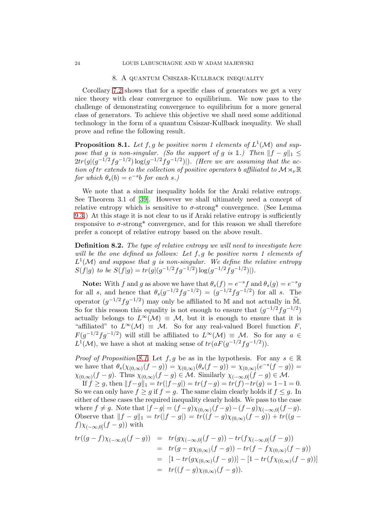#### 8. A quantum Csiszar-Kullback inequality

<span id="page-23-0"></span>Corollary [7.2](#page-22-0) shows that for a specific class of generators we get a very nice theory with clear convergence to equilibrium. We now pass to the challenge of demonstrating convergence to equilibrium for a more general class of generators. To achieve this objective we shall need some additional technology in the form of a quantum Csiszar-Kullback inequality. We shall prove and refine the following result.

<span id="page-23-1"></span>**Proposition 8.1.** Let  $f, g$  be positive norm 1 elements of  $L^1(\mathcal{M})$  and suppose that g is non-singular. (So the support of g is 1.) Then  $||f - g||_1 \le$  $2tr(g|(g^{-1/2}fg^{-1/2})\log(g^{-1/2}fg^{-1/2})|)$ . (Here we are assuming that the action of tr extends to the collection of positive operators b affiliated to  $M\rtimes_{\nu}\mathbb{R}$ for which  $\theta_s(b) = e^{-s}b$  for each s.)

We note that a similar inequality holds for the Araki relative entropy. See Theorem 3.1 of [\[39\]](#page-31-8). However we shall ultimately need a concept of relative entropy which is sensitive to  $\sigma$ -strong\* convergence. (See Lemma [9.3.](#page-26-0)) At this stage it is not clear to us if Araki relative entropy is sufficiently responsive to  $\sigma$ -strong<sup>\*</sup> convergence, and for this reason we shall therefore prefer a concept of relative entropy based on the above result.

Definition 8.2. The type of relative entropy we will need to investigate here will be the one defined as follows: Let  $f, g$  be positive norm 1 elements of  $L^1(\mathcal{M})$  and suppose that g is non-singular. We define the relative entropy  $S(f|g)$  to be  $S(f|g) = tr(g|(g^{-1/2}fg^{-1/2}) \log(g^{-1/2}fg^{-1/2})|).$ 

**Note:** With f and g as above we have that  $\theta_s(f) = e^{-s}f$  and  $\theta_s(g) = e^{-s}g$ for all s, and hence that  $\theta_s(g^{-1/2}fg^{-1/2}) = (g^{-1/2}fg^{-1/2})$  for all s. The operator  $(g^{-1/2}fg^{-1/2})$  may only be affiliated to M and not actually in  $\widetilde{M}$ . So for this reason this equality is not enough to ensure that  $(g^{-1/2}fg^{-1/2})$ actually belongs to  $L^{\infty}(\mathcal{M}) \equiv \mathcal{M}$ , but it is enough to ensure that it is "affiliated" to  $L^{\infty}(\mathcal{M}) \equiv \mathcal{M}$ . So for any real-valued Borel function F,  $F(g^{-1/2}fg^{-1/2})$  will still be affiliated to  $L^{\infty}(\mathcal{M}) \equiv \mathcal{M}$ . So for any  $a \in$  $L^1(\mathcal{M})$ , we have a shot at making sense of  $tr(aF(g^{-1/2}fg^{-1/2}))$ .

*Proof of Proposition [8.1.](#page-23-1)* Let  $f, g$  be as in the hypothesis. For any  $s \in \mathbb{R}$ we have that  $\theta_s(\chi_{(0,\infty)}(f-g)) = \chi_{(0,\infty)}(\theta_s(f-g)) = \chi_{(0,\infty)}(e^{-s}(f-g)) =$  $\chi_{(0,\infty)}(f-g)$ . Thus  $\chi_{(0,\infty)}(f-g) \in \mathcal{M}$ . Similarly  $\chi_{(-\infty,0]}(f-g) \in \mathcal{M}$ .

If  $f \ge g$ , then  $||f - g||_1 = tr(|f - g|) = tr(f - g) = tr(f) - tr(g) = 1 - 1 = 0.$ So we can only have  $f \ge g$  if  $f = g$ . The same claim clearly holds if  $f \le g$ . In either of these cases the required inequality clearly holds. We pass to the case where  $f \neq g$ . Note that  $|f - g| = (f - g)\chi_{(0,\infty)}(f - g) - (f - g)\chi_{(-\infty,0]}(f - g)$ . Observe that  $||f - g||_1 = tr(|f - g|) = tr((f - g)\chi_{(0, \infty)}(f - g)) + tr((g - g))$  $f(\chi_{(-\infty,0]}(f-g))$  with

$$
tr((g-f)\chi_{(-\infty,0]}(f-g)) = tr(g\chi_{(-\infty,0]}(f-g)) - tr(f\chi_{(-\infty,0]}(f-g))
$$
  
= 
$$
tr(g-g\chi_{(0,\infty)}(f-g)) - tr(f - f\chi_{(0,\infty)}(f-g))
$$
  
= 
$$
[1 - tr(g\chi_{(0,\infty)}(f-g))] - [1 - tr(f\chi_{(0,\infty)}(f-g))]
$$
  
= 
$$
tr((f-g)\chi_{(0,\infty)}(f-g)).
$$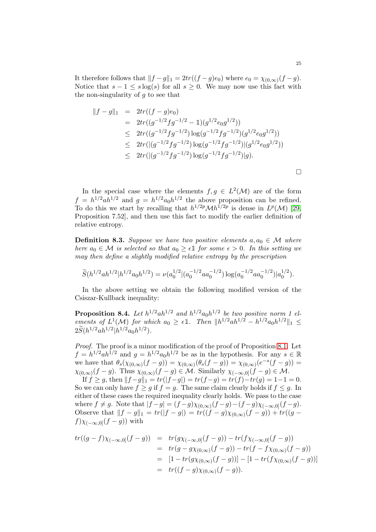It therefore follows that  $||f - g||_1 = 2tr((f - g)e_0)$  where  $e_0 = \chi_{(0,\infty)}(f - g)$ . Notice that  $s - 1 \leq s \log(s)$  for all  $s > 0$ . We may now use this fact with the non-singularity of  $q$  to see that

$$
||f - g||_1 = 2tr((f - g)e_0)
$$
  
=  $2tr((g^{-1/2}fg^{-1/2} - 1)(g^{1/2}e_0g^{1/2}))$   
 $\leq 2tr((g^{-1/2}fg^{-1/2})\log(g^{-1/2}fg^{-1/2})(g^{1/2}e_0g^{1/2}))$   
 $\leq 2tr((g^{-1/2}fg^{-1/2})\log(g^{-1/2}fg^{-1/2})(g^{1/2}e_0g^{1/2}))$   
 $\leq 2tr((g^{-1/2}fg^{-1/2})\log(g^{-1/2}fg^{-1/2})|g).$ 

In the special case where the elements  $f, g \in L^2(\mathcal{M})$  are of the form  $f = h^{1/2}ah^{1/2}$  and  $g = h^{1/2}a_0h^{1/2}$  the above proposition can be refined. To do this we start by recalling that  $h^{1/2p}\mathcal{M}h^{1/2p}$  is dense in  $L^p(\mathcal{M})$  [\[29,](#page-30-12) Proposition 7.52], and then use this fact to modify the earlier definition of relative entropy.

**Definition 8.3.** Suppose we have two positive elements  $a, a_0 \in \mathcal{M}$  where here  $a_0 \in \mathcal{M}$  is selected so that  $a_0 \geq \epsilon \mathbb{1}$  for some  $\epsilon > 0$ . In this setting we may then define a slightly modified relative entropy by the prescription

$$
\widetilde{S}(h^{1/2}ah^{1/2}|h^{1/2}a_0h^{1/2})=\nu(a_0^{1/2}|(a_0^{-1/2}aa_0^{-1/2})\log(a_0^{-1/2}aa_0^{-1/2})|a_0^{1/2}).
$$

In the above setting we obtain the following modified version of the Csiszar-Kullback inequality:

<span id="page-24-0"></span>**Proposition 8.4.** Let  $h^{1/2}ah^{1/2}$  and  $h^{1/2}a_0h^{1/2}$  be two positive norm 1 elements of  $L^1(\mathcal{M})$  for which  $a_0 \geq \epsilon \mathbb{1}$ . Then  $||h^{1/2}ah^{1/2} - h^{1/2}a_0h^{1/2}||_1 \leq$  $2S(h^{1/2}ah^{1/2}|h^{1/2}a_0h^{1/2}).$ 

Proof. The proof is a minor modification of the proof of Proposition [8.1.](#page-23-1) Let  $f = h^{1/2}ah^{1/2}$  and  $g = h^{1/2}a_0h^{1/2}$  be as in the hypothesis. For any  $s \in \mathbb{R}$ we have that  $\theta_s(\chi_{(0,\infty)}(f-g)) = \chi_{(0,\infty)}(\theta_s(f-g)) = \chi_{(0,\infty)}(e^{-s}(f-g)) =$  $\chi_{(0,\infty)}(f-g)$ . Thus  $\chi_{(0,\infty)}(f-g) \in \mathcal{M}$ . Similarly  $\chi_{(-\infty,0]}(f-g) \in \mathcal{M}$ .

If  $f \ge g$ , then  $||f-g||_1 = tr(|f-g|) = tr(f-g) = tr(f) - tr(g) = 1-1 = 0.$ So we can only have  $f \ge g$  if  $f = g$ . The same claim clearly holds if  $f \le g$ . In either of these cases the required inequality clearly holds. We pass to the case where  $f \neq g$ . Note that  $|f - g| = (f - g)\chi_{(0,\infty)}(f - g) - (f - g)\chi_{(-\infty,0]}(f - g)$ . Observe that  $||f - g||_1 = tr(|f - g|) = tr((f - g)\chi_{(0, \infty)}(f - g)) + tr((g - g))$  $f(\mathcal{X}_{(-\infty,0]}(f-g))$  with

$$
tr((g-f)\chi_{(-\infty,0]}(f-g)) = tr(g\chi_{(-\infty,0]}(f-g)) - tr(f\chi_{(-\infty,0]}(f-g))
$$
  
= 
$$
tr(g-g\chi_{(0,\infty)}(f-g)) - tr(f - f\chi_{(0,\infty)}(f-g))
$$
  
= 
$$
[1 - tr(g\chi_{(0,\infty)}(f-g))] - [1 - tr(f\chi_{(0,\infty)}(f-g))]
$$
  
= 
$$
tr((f-g)\chi_{(0,\infty)}(f-g)).
$$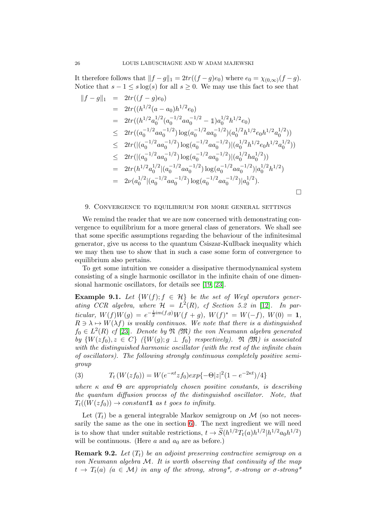It therefore follows that  $||f - g||_1 = 2tr((f - g)e_0)$  where  $e_0 = \chi_{(0,\infty)}(f - g)$ . Notice that  $s - 1 \leq s \log(s)$  for all  $s > 0$ . We may use this fact to see that

$$
||f - g||_1 = 2tr((f - g)e_0)
$$
  
\n
$$
= 2tr((h^{1/2}(a - a_0)h^{1/2}e_0)
$$
  
\n
$$
= 2tr((h^{1/2}a_0^{1/2}(a_0^{-1/2}aa_0^{-1/2} - 1)a_0^{1/2}h^{1/2}e_0)
$$
  
\n
$$
\leq 2tr((a_0^{-1/2}aa_0^{-1/2})\log(a_0^{-1/2}aa_0^{-1/2})(a_0^{1/2}h^{1/2}e_0h^{1/2}a_0^{1/2}))
$$
  
\n
$$
\leq 2tr((a_0^{-1/2}aa_0^{-1/2})\log(a_0^{-1/2}aa_0^{-1/2})(a_0^{1/2}h^{1/2}e_0h^{1/2}a_0^{1/2}))
$$
  
\n
$$
\leq 2tr((a_0^{-1/2}aa_0^{-1/2})\log(a_0^{-1/2}aa_0^{-1/2})(a_0^{1/2}ha_0^{1/2}))
$$
  
\n
$$
= 2tr(h^{1/2}a_0^{1/2}|(a_0^{-1/2}aa_0^{-1/2})\log(a_0^{-1/2}aa_0^{-1/2})|a_0^{1/2}h^{1/2})
$$
  
\n
$$
= 2\nu(a_0^{1/2}|(a_0^{-1/2}aa_0^{-1/2})\log(a_0^{-1/2}aa_0^{-1/2})|a_0^{1/2}).
$$

#### <span id="page-25-0"></span>9. Convergence to equilibrium for more general settings

We remind the reader that we are now concerned with demonstrating convergence to equilibrium for a more general class of generators. We shall see that some specific assumptions regarding the behaviour of the infinitesimal generator, give us access to the quantum Csiszar-Kullback inequality which we may then use to show that in such a case some form of convergence to equilibrium also pertains.

To get some intuition we consider a dissipative thermodynamical system consisting of a single harmonic oscillator in the infinite chain of one dimensional harmonic oscillators, for details see [\[19,](#page-30-23) [23\]](#page-30-24).

**Example 9.1.** Let  $\{W(f); f \in \mathcal{H}\}\$ be the set of Weyl operators generating CCR algebra, where  $\mathcal{H} = L^2(R)$ , cf Section 5.2 in [\[12\]](#page-30-16). In particular,  $W(f)W(g) = e^{-\frac{i}{2}im(f,g)}W(f+g)$ ,  $W(f)^* = W(-f)$ ,  $W(0) = 1$ ,  $R \ni \lambda \mapsto W(\lambda f)$  is weakly continuos. We note that there is a distinguished  $f_0 \in L^2(R)$  cf [\[23\]](#page-30-24). Denote by  $\mathfrak N$  ( $\mathfrak M$ ) the von Neumann algebra generated by  $\{W(zf_0), z \in C\}$   $(\{W(g); g \perp f_0\}$  respectively).  $\mathfrak N$  ( $\mathfrak M$ ) is associated with the distinguished harmonic oscillator (with the rest of the infinite chain of oscillators). The following strongly continuous completely positive semigroup

(3) 
$$
T_t(W(zf_0)) = W(e^{-\kappa t}zf_0)exp{-\Theta |z|^2 (1 - e^{-2\kappa t})/4}
$$

where  $\kappa$  and  $\Theta$  are appropriately chosen positive constants, is describing the quantum diffusion process of the distinguished oscillator. Note, that  $T_t((W(z f_0)) \to constant1$  as t goes to infinity.

Let  $(T_t)$  be a general integrable Markov semigroup on  $\mathcal M$  (so not necessarily the same as the one in section [6\)](#page-19-0). The next ingredient we will need is to show that under suitable restrictions,  $t \to \tilde{S}(h^{1/2}T_t(a)h^{1/2}|h^{1/2}a_0h^{1/2})$ will be continuous. (Here  $a$  and  $a_0$  are as before.)

**Remark 9.2.** Let  $(T_t)$  be an adjoint preserving contractive semigroup on a von Neumann algebra M. It is worth observing that continuity of the map  $t \to T_t(a)$  (a  $\in \mathcal{M}$ ) in any of the strong, strong\*, σ-strong or σ-strong\*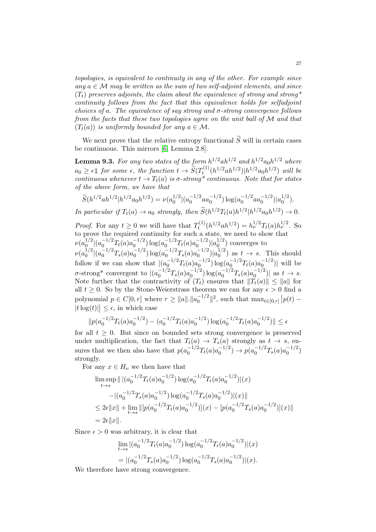topologies, is equivalent to continuity in any of the other. For example since any  $a \in \mathcal{M}$  may be written as the sum of two self-adjoint elements, and since  $(T_t)$  preserves adjoints, the claim about the equivalence of strong and strong\* continuity follows from the fact that this equivalence holds for selfadjoint choices of a. The equivalence of say strong and  $\sigma$ -strong convergence follows from the facts that these two topologies agree on the unit ball of M and that  $(T_t(a))$  is uniformly bounded for any  $a \in \mathcal{M}$ .

We next prove that the relative entropy functional  $\tilde{S}$  will in certain cases be continuous. This mirrors [\[6,](#page-29-0) Lemma 2.8].

<span id="page-26-0"></span>**Lemma 9.3.** For any two states of the form  $h^{1/2}ah^{1/2}$  and  $h^{1/2}a_0h^{1/2}$  where  $a_0 \geq \epsilon \mathbb{1}$  for some  $\epsilon$ , the function  $t \to \widetilde{S}(T_t^{(1)})$  $(t^{(1)}_t(h^{1/2}ah^{1/2})|h^{1/2}a_0h^{1/2})$  will be continuous whenever  $t \to T_t(a)$  is  $\sigma$ -strong\* continuous. Note that for states of the above form, we have that

$$
\widetilde{S}(h^{1/2}ah^{1/2}|h^{1/2}a_0h^{1/2}) = \nu(a_0^{1/2}|(a_0^{-1/2}aa_0^{-1/2})\log(a_0^{-1/2}aa_0^{-1/2})|a_0^{1/2}).
$$
  
In particular if  $T_t(a) \to a_0$  strongly, then  $\widetilde{S}(h^{1/2}T_t(a)h^{1/2}|h^{1/2}a_0h^{1/2}) \to 0.$ 

*Proof.* For any  $t \geq 0$  we will have that  $T_t^{(1)}$  $t^{(1)}(h^{1/2}ah^{1/2}) = h_{\nu}^{1/2}T_t(a)h_{\nu}^{1/2}$ . So to prove the required continuity for such a state, we need to show that  $\nu(a_0^{1/2})$  $\int_0^{1/2} |(a_0^{-1/2} T_t(a) a_0^{-1/2})|$  $\int_0^{-1/2} \log(a_0^{-1/2} T_t(a) a_0^{-1/2})$  $\binom{-1/2}{0}$  $|a_0^{1/2}$  $\binom{1}{0}$  converges to  $\nu(a_0^{1/2})$  $\binom{1/2}{0}$  $\left( a_0^{-1/2} T_s(a) a_0^{-1/2} \right)$  $\int_0^{-1/2} \log (a_0^{-1/2} T_s(a) a_0^{-1/2})$  $\binom{-1/2}{0} |a_0^{1/2}$  $\binom{1}{0}$  as  $t \to s$ . This should follow if we can show that  $|(a_0^{-1/2}T_t(a)a_0^{-1/2})$  $\log(a_0^{-1/2} T_t(a) a_0^{-1/2}$  $\binom{-1/2}{0}$  will be  $\sigma$ -strong\* convergent to  $\left| \frac{a_0^{-1/2} T_s(a) a_0^{-1/2}}{a_0} \right|$  $\log(a_0^{-1/2}T_s(a)a_0^{-1/2})$  $\begin{bmatrix} 1/2 \\ 0 \end{bmatrix}$  as  $t \to s$ . Note further that the contractivity of  $(T_t)$  ensures that  $||T_t(a)|| \le ||a||$  for all  $t \geq 0$ . So by the Stone-Weierstrass theorem we can for any  $\epsilon > 0$  find a polynomial  $p \in C[0, r]$  where  $r \ge ||a||.||a_0^{-1/2}$  $\int_0^{-1/2} |z|^2$ , such that  $\max_{t \in [0,r]} |p(t) |t \log(t)| \leq \epsilon$ , in which case

$$
||p(a_0^{-1/2}T_t(a)a_0^{-1/2}) - (a_0^{-1/2}T_t(a)a_0^{-1/2}) \log(a_0^{-1/2}T_t(a)a_0^{-1/2})|| \le \epsilon
$$

for all  $t \geq 0$ . But since on bounded sets strong convergence is preserved under multiplication, the fact that  $T_t(a) \to T_s(a)$  strongly as  $t \to s$ , ensures that we then also have that  $p(a_0^{-1/2}T_t(a)a_0^{-1/2})$  $p_0^{-1/2}) \rightarrow p(a_0^{-1/2} T_s(a) a_0^{-1/2})$  $\binom{-1/2}{0}$ strongly.

For any  $x \in H_{\nu}$  we then have that

$$
\limsup_{t \to s} || |(a_0^{-1/2} T_t(a) a_0^{-1/2}) \log(a_0^{-1/2} T_t(a) a_0^{-1/2})| (x)
$$
  
 
$$
- |(a_0^{-1/2} T_s(a) a_0^{-1/2}) \log(a_0^{-1/2} T_s(a) a_0^{-1/2})| (x)||
$$
  
\n
$$
\leq 2\epsilon ||x|| + \lim_{t \to s} ||[p(a_0^{-1/2} T_t(a) a_0^{-1/2})](x) - [p(a_0^{-1/2} T_s(a) a_0^{-1/2})](x)||
$$
  
\n
$$
= 2\epsilon ||x||.
$$

Since  $\epsilon > 0$  was arbitrary, it is clear that

$$
\lim_{t \to s} |(a_0^{-1/2} T_t(a) a_0^{-1/2}) \log(a_0^{-1/2} T_t(a) a_0^{-1/2})|(x)
$$
  
=  $|(a_0^{-1/2} T_s(a) a_0^{-1/2}) \log(a_0^{-1/2} T_s(a) a_0^{-1/2})|(x).$ 

We therefore have strong convergence.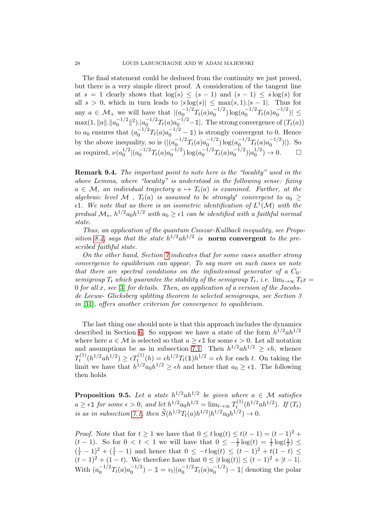The final statement could be deduced from the continuity we just proved, but there is a very simple direct proof. A consideration of the tangent line at  $s = 1$  clearly shows that  $\log(s) \leq (s - 1)$  and  $(s - 1) \leq s \log(s)$  for all  $s > 0$ , which in turn leads to  $|s \log(s)| \leq \max(s, 1) |s - 1|$ . Thus for any  $a \in \mathcal{M}_+$  we will have that  $|(a_0^{-1/2}T_t(a)a_0^{-1/2})$  $\binom{-1/2}{0} \log(a_0^{-1/2} T_t(a) a_0^{-1/2})$  $|0^{-1/2})| \le$  $\max(1, ||a||.||a_0^{-1/2})$  $\int_0^{-1/2} ||^2$ ). $|a_0^{-1/2} T_t(a) a_0^{-1/2} - 1|$ . The strong convergence of  $(T_t(a))$ to  $a_0$  ensures that  $(a_0^{-1/2}T_t(a)a_0^{-1/2}-1)$  is strongly convergent to 0. Hence by the above inequality, so is  $(|(a_0^{-1/2}))$  $\int_0^{-1/2} T_t(a) a_0^{-1/2}$  $\log(a_0^{-1/2}) \log(a_0^{-1/2})$  $\int_0^{-1/2} T_t(a) a_0^{-1/2}$  $\binom{-1/2}{0}$ . So as required,  $\nu(a_0^{1/2})$  $\binom{1/2}{0}$  $\left( a_0^{-1/2} T_t(a) a_0^{-1/2} \right)$  $\binom{-1/2}{0} \log(a_0^{-1/2} T_t(a) a_0^{-1/2})$  $\binom{-1/2}{0} |a_0^{1/2}$  $_{0}^{1/2}) \to 0.$   $\Box$ 

Remark 9.4. The important point to note here is the "locality" used in the above Lemma, where "locality" is understood in the following sense: fixing  $a \in \mathcal{M}$ , an individual trajectory  $a \mapsto T_t(a)$  is examined. Further, at the algebraic level M,  $T_t(a)$  is assumed to be strongly<sup>\*</sup> convergent to  $a_0 \geq$  $\epsilon$ 1. We note that as there is an isometric identification of  $L^1(\mathcal{M})$  with the predual  $\mathcal{M}_{*}$ ,  $h^{1/2} a_0 h^{1/2}$  with  $a_0 \geq \epsilon 1$  can be identified with a faithful normal state.

Thus, an application of the quantum Csiszar-Kullback inequality, see Propo-sition [8.4,](#page-24-0) says that the state  $h^{1/2}ah^{1/2}$  is norm convergent to the prescribed faithful state.

On the other hand, Section [7](#page-20-0) indicates that for some cases another strong convergence to equilibrium can appear. To say more on such cases we note that there are spectral conditions on the infinitesimal generator of a  $C_0$ semigroup  $T_t$  which guarantee the stability of the semigroup  $T_t$ , i.e.  $\lim_{t\to\infty} T_t x =$ 0 for all x, see [\[3\]](#page-29-9) for details. Then, an application of a version of the Jacobsde Leeuw- Glicksberg splitting theorem to selected semigroups, see Section 3 in [\[31\]](#page-30-25), offers another criterion for convergence to equilibrium.

The last thing one should note is that this approach includes the dynamics described in Section [6.](#page-19-0) So suppose we have a state of the form  $h^{1/2}ah^{1/2}$ where here  $a \in \mathcal{M}$  is selected so that  $a \geq \epsilon \mathbb{1}$  for some  $\epsilon > 0$ . Let all notation and assumptions be as in subsection [7.1.](#page-21-0) Then  $h^{1/2}ah^{1/2} \geq \epsilon h$ , whence  $T_t^{(1)}$  $t_0^{(1)}(h^{1/2}ah^{1/2}) \ge \epsilon T_t^{(1)}(h) = \epsilon h^{1/2}T_t(1)h^{1/2} = \epsilon h$  for each t. On taking the limit we have that  $h^{1/2}a_0h^{1/2} \geq \epsilon h$  and hence that  $a_0 \geq \epsilon \mathbb{1}$ . The following then holds

**Proposition 9.5.** Let a state  $h^{1/2}ah^{1/2}$  be given where  $a \in \mathcal{M}$  satisfies  $a \geq \epsilon \mathbb{1}$  for some  $\epsilon > 0$ , and let  $h^{1/2} a_0 h^{1/2} = \lim_{t \to \infty} T_t^{(1)}$  $t^{(1)}_{t}(h^{1/2}ah^{1/2})$ . If  $(T_{t})$ is as in subsection [7.1,](#page-21-0) then  $\tilde{S}(h^{1/2}T_t(a)h^{1/2}|h^{1/2}a_0h^{1/2}) \to 0$ .

*Proof.* Note that for  $t \ge 1$  we have that  $0 \le t \log(t) \le t(t-1) = (t-1)^2 +$  $(t-1)$ . So for  $0 < t < 1$  we will have that  $0 \le -\frac{1}{t} \log(t) = \frac{1}{t} \log(\frac{1}{t}) \le$  $(\frac{1}{t} - 1)^2 + (\frac{1}{t} - 1)$  and hence that  $0 \leq -t \log(t) \leq (t - 1)^2 + t(1 - t) \leq$  $(t-1)^2 + (1-t)$ . We therefore have that  $0 \le |t \log(t)| \le (t-1)^2 + |t-1|$ . With  $(a_0^{-1/2}T_t(a)a_0^{-1/2})$  $\binom{-1/2}{0} - 1 = v_t |(a_0^{-1/2} T_t(a) a_0^{-1/2})$  $\binom{-1}{0} - 1$  denoting the polar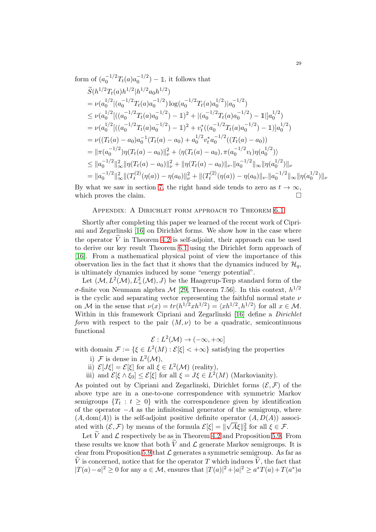form of 
$$
(a_0^{-1/2}T_t(a)a_0^{-1/2}) - 1
$$
, it follows that  
\n
$$
\widetilde{S}(h^{1/2}T_t(a)h^{1/2}|h^{1/2}a_0h^{1/2})
$$
\n
$$
= \nu(a_0^{1/2}|(a_0^{-1/2}T_t(a)a_0^{-1/2})\log(a_0^{-1/2}T_t(a)a_0^{-1/2})|a_0^{-1/2})
$$
\n
$$
\leq \nu(a_0^{1/2}|((a_0^{-1/2}T_t(a)a_0^{-1/2}) - 1)^2 + |(a_0^{-1/2}T_t(a)a_0^{-1/2}) - 1||a_0^{1/2})
$$
\n
$$
= \nu(a_0^{1/2}|((a_0^{-1/2}T_t(a)a_0^{-1/2}) - 1)^2 + v_t^*((a_0^{-1/2}T_t(a)a_0^{-1/2}) - 1)|a_0^{1/2})
$$
\n
$$
= \nu((T_t(a) - a_0)a_0^{-1}(T_t(a) - a_0) + a_0^{1/2}v_t^*a_0^{-1/2}((T_t(a) - a_0))
$$
\n
$$
= ||\pi(a_0^{-1/2})\eta(T_t(a) - a_0)||_2^2 + \langle \eta(T_t(a) - a_0), \pi(a_0^{-1/2}v_t)\eta(a_0^{1/2}) \rangle
$$
\n
$$
\leq ||a_0^{-1/2}||_{\infty}^2 ||\eta(T_t(a) - a_0)||_2^2 + ||\eta(T_t(a) - a_0)||_{\nu} ||a_0^{-1/2}||_{\infty} ||\eta(a_0^{1/2})||_{\nu}
$$
\n
$$
= ||a_0^{-1/2}||_{\infty}^2 ||(T_t^{(2)}(\eta(a)) - \eta(a_0)||_2^2 + ||(T_t^{(2)}(\eta(a)) - \eta(a_0)||_{\nu} ||a_0^{-1/2}||_{\infty} ||\eta(a_0^{1/2})||_{\nu}
$$

By what we saw in section [7,](#page-20-0) the right hand side tends to zero as  $t \to \infty$ , which proves the claim. which proves the claim.

### Appendix: A Dirichlet form approach to Theorem [6.1](#page-19-1)

Shortly after completing this paper we learned of the recent work of Cipriani and Zegarlinski [\[16\]](#page-30-26) on Dirichlet forms. We show how in the case where the operator  $\tilde{V}$  in Theorem [4.2](#page-8-0) is self-adjoint, their approach can be used to derive our key result Theorem [6.1](#page-19-1) using the Dirichlet form approach of [\[16\]](#page-30-26). From a mathematical physical point of view the importance of this observation lies in the fact that it shows that the dynamics induced by  $\mathcal{H}_a$ , is ultimately dynamics induced by some "energy potential".

Let  $(\mathcal{M}, L^2(\mathcal{M}), L^2_+(\mathcal{M}), J)$  be the Haagerup-Terp standard form of the  $\sigma$ -finite von Neumann algebra  $\mathcal{M}$  [\[29,](#page-30-12) Theorem 7.56]. In this context,  $h^{1/2}$ is the cyclic and separating vector representing the faithful normal state  $\nu$ on M in the sense that  $\nu(x) = tr(h^{1/2}xh^{1/2}) = \langle xh^{1/2}, h^{1/2} \rangle$  for all  $x \in M$ . Within in this framework Cipriani and Zegarlinski [\[16\]](#page-30-26) define a *Dirichlet* form with respect to the pair  $(M, \nu)$  to be a quadratic, semicontinuous functional

$$
\mathcal{E}: L^2(\mathcal{M}) \to (-\infty, +\infty]
$$

with domain  $\mathcal{F} := \{ \xi \in L^2(M) : \mathcal{E}[\xi] < +\infty \}$  satisfying the properties

- i) F is dense in  $L^2(\mathcal{M})$ ,
- ii)  $\mathcal{E}[J\xi] = \mathcal{E}[\xi]$  for all  $\xi \in L^2(\mathcal{M})$  (reality),
- iii) and  $\mathcal{E}[\xi \wedge \xi_0] \leq \mathcal{E}[\xi]$  for all  $\xi = J\xi \in L^2(M)$  (Markovianity).

As pointed out by Cipriani and Zegarlinski, Dirichlet forms  $(\mathcal{E}, \mathcal{F})$  of the above type are in a one-to-one correspondence with symmetric Markov semigroups  $\{T_t : t \geq 0\}$  with the correspondence given by identification of the operator  $-A$  as the infinitesimal generator of the semigroup, where  $(A, dom(A))$  is the self-adjoint positive definite operator  $(A, D(A))$  associated with  $(\mathcal{E}, \mathcal{F})$  by means of the formula  $\mathcal{E}[\xi] = ||\sqrt{A}\xi||_2^2$  for all  $\xi \in \mathcal{F}$ .

Let  $\widetilde{V}$  and  $\mathcal{L}$  respectively be as in Theorem [4.2](#page-8-0) and Proposition [5.9.](#page-17-1) From these results we know that both  $\tilde{V}$  and  $\mathcal{L}$  generate Markov semigroups. It is clear from Proposition [5.9](#page-17-1) that  $\mathcal L$  generates a symmetric semigroup. As far as V is concerned, notice that for the operator T which induces  $\widetilde{V}$ , the fact that  $|T(a) - a|^2 \ge 0$  for any  $a \in \mathcal{M}$ , ensures that  $|T(a)|^2 + |a|^2 \ge a^*T(a) + T(a^*)a$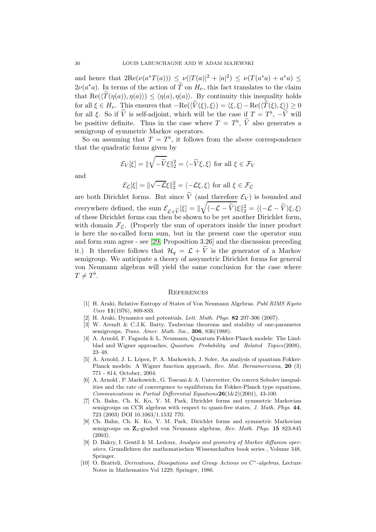and hence that  $2\text{Re}(\nu(a^*T(a))) \leq \nu(|T(a)|^2 + |a|^2) \leq \nu(T(a^*a) + a^*a) \leq$  $2\nu(a^*a)$ . In terms of the action of  $\tilde{T}$  on  $H_{\nu}$ , this fact translates to the claim that  $\text{Re}(\langle T(\eta(a)), \eta(a)\rangle) \leq \langle \eta(a), \eta(a)\rangle$ . By continuity this inequality holds for all  $\xi \in H_{\nu}$ . This ensures that  $-\text{Re}(\langle \tilde{V}(\xi), \xi \rangle) = \langle \xi, \xi \rangle - \text{Re}(\langle \tilde{T}(\xi), \xi \rangle) \ge 0$ for all  $\xi$ . So if  $\widetilde{V}$  is self-adjoint, which will be the case if  $T = T^{\flat}$ ,  $-\widetilde{V}$  will be positive definite. Thus in the case where  $T = T^{\flat}$ ,  $\tilde{V}$  also generates a semigroup of symmetric Markov operators.

So on assuming that  $T = T^{\flat}$ , it follows from the above correspondence that the quadratic forms given by

$$
\mathcal{E}_V[\xi] = \|\sqrt{-\tilde{V}}\xi\|_2^2 = \langle -\tilde{V}\xi, \xi \rangle \text{ for all } \xi \in \mathcal{F}_V
$$

and

$$
\mathcal{E}_{\mathcal{L}}[\xi] = \|\sqrt{-\mathcal{L}}\xi\|_2^2 = \langle -\mathcal{L}\xi, \xi \rangle \text{ for all } \xi \in \mathcal{F}_{\mathcal{L}}
$$

are both Dirichlet forms. But since  $\tilde{V}$  (and therefore  $\mathcal{E}_V$ ) is bounded and everywhere defined, the sum  $\mathcal{E}_{\mathcal{L}+\widetilde{V}}[\xi] = ||\sqrt{(-\mathcal{L}-\widetilde{V})}\xi||_2^2 = \langle (-\mathcal{L}-\widetilde{V})\xi, \xi \rangle$ of these Dirichlet forms can then be shown to be yet another Dirichlet form, with domain  $\mathcal{F}_{\mathcal{L}}$ . (Properly the sum of operators inside the inner product is here the so-called form sum, but in the present case the operator sum and form sum agree - see [\[29,](#page-30-12) Proposition 3.26] and the discussion preceding it.) It therefore follows that  $\mathcal{H}_q = \mathcal{L} + \widetilde{V}$  is the generator of a Markov semigroup. We anticipate a theory of assymetric Dirichlet forms for general von Neumann algebras will yield the same conclusion for the case where  $T \neq T^{\flat}$ .

#### **REFERENCES**

- <span id="page-29-4"></span>[1] H. Araki, Relative Entropy of States of Von Neumann Algebras. Publ RIMS Kyoto Univ 11(1976), 809-833.
- <span id="page-29-9"></span><span id="page-29-5"></span>[2] H. Araki, Dynamics and potentials, Lett. Math. Phys. 82 297-306 (2007).
- [3] W. Arendt & C.J.K. Batty, Tauberian theorems and stability of one-parameter semigroups, *Trans. Amer. Math. Soc.*, **306**, 836(1988).
- <span id="page-29-2"></span>[4] A. Arnold, F. Fagnola & L. Neumann, Quantum Fokker-Planck models: The Lindblad and Wigner approaches, Quantum Probability and Related Topics(2008), 23–48.
- <span id="page-29-3"></span>[5] A. Arnold, J. L. López, P. A. Markowich, J. Soler, An analysis of quantum Fokker-Planck models: A Wigner function approach, Rev. Mat. Iberoamericana, 20 (3) 771 - 814, October, 2004.
- <span id="page-29-0"></span>[6] A. Arnold , P. Markowich , G. Toscani & A. Unterreiter, On convex Sobolev inequalities and the rate of convergence to equilibrium for Fokker-Planck type equations, Communcations in Partial Differential Equations  $26(1\&2)(2001)$ , 43-100.
- <span id="page-29-6"></span>[7] Ch. Bahn, Ch. K. Ko, Y. M. Park, Dirichlet forms and symmetric Markovian semigroups on CCR algebras with respect to quasi-free states, J. Math. Phys. 44, 723 (2003) DOI 10.1063/1.1532 770.
- <span id="page-29-7"></span>[8] Ch. Bahn, Ch. K. Ko, Y. M. Park, Dirichlet forms and symmetric Markovian semigroups on  $\mathbb{Z}_2$ -graded von Neumann algebras, Rev. Math. Phys. 15 823-845 (2003).
- <span id="page-29-1"></span>[9] D. Bakry, I. Gentil & M. Ledoux, Analysis and geometry of Markov diffusion operators, Grundlehren der mathematischen Wissenschaften book series , Volume 348, Springer.
- <span id="page-29-8"></span>[10] O. Bratteli, Derivations, Dissipations and Group Actions on C<sup>\*</sup>-algebras, Lecture Notes in Mathematics Vol 1229, Springer, 1986.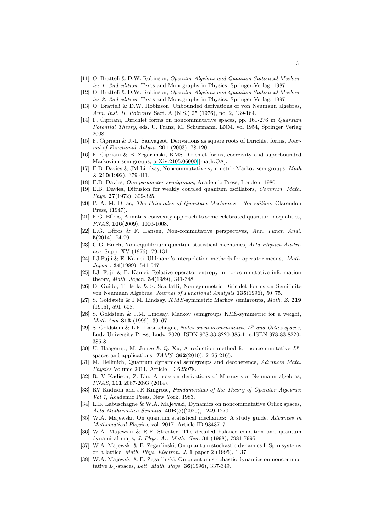- <span id="page-30-16"></span><span id="page-30-9"></span>[11] O. Bratteli & D.W. Robinson, Operator Algebras and Quantum Statistical Mechanics 1: 2nd edition, Texts and Monographs in Physics, Springer-Verlag, 1987.
- [12] O. Bratteli & D.W. Robinson, Operator Algebras and Quantum Statistical Mechanics 2: 2nd edition, Texts and Monographs in Physics, Springer-Verlag, 1997.
- <span id="page-30-19"></span>[13] O. Bratteli & D.W. Robinson, Unbounded derivations of von Neumann algebras, Ann. Inst. H. Poincaré Sect. A (N.S.) 25 (1976), no. 2, 139-164.
- <span id="page-30-5"></span>[14] F. Cipriani, Dirichlet forms on noncommutative spaces, pp. 161-276 in Quantum Potential Theory, eds. U. Franz, M. Schürmann. LNM. vol 1954, Springer Verlag 2008.
- <span id="page-30-8"></span>[15] F. Cipriani & J.-L. Sauvageot, Derivations as square roots of Dirichlet forms, Journal of Functional Anlysis 201 (2003), 78-120.
- <span id="page-30-26"></span>[16] F. Cipriani & B. Zegarlinski, KMS Dirichlet forms, coercivity and superbounded Markovian semigroups, [arXiv:2105.06000](http://arxiv.org/abs/2105.06000) [math.OA].
- <span id="page-30-21"></span>[17] E.B. Davies & JM Lindsay, Noncommutative symmetric Markov semigroups, Math Z 210(1992), 379-411.
- <span id="page-30-23"></span><span id="page-30-22"></span>[18] E.B. Davies, *One-parameter semigroups*, Academic Press, London, 1980.
- [19] E.B. Davies, Diffusion for weakly coupled quantum oscillators, Commun. Math. Phys. 27(1972), 309-325.
- <span id="page-30-10"></span>[20] P. A. M. Dirac, The Principles of Quantum Mechanics - 3rd edition, Clarendon Press, (1947).
- <span id="page-30-1"></span>[21] E.G. Effros, A matrix convexity approach to some celebrated quantum inequalities, PNAS, 106(2009), 1006-1008.
- <span id="page-30-2"></span>[22] E.G. Effros & F. Hansen, Non-commutative perspectives, Ann. Funct. Anal. 5(2014), 74-79.
- <span id="page-30-24"></span>[23] G.G. Emch, Non-equilibrium quantum statistical mechanics, Acta Physica Austriaca, Supp. XV (1976), 79-131.
- <span id="page-30-3"></span>[24] I.J Fujii & E. Kamei, Uhlmann's interpolation methods for operator means, Math. Japon , 34(1989), 541-547.
- <span id="page-30-4"></span>[25] I.J. Fujii & E. Kamei, Relative operator entropy in noncommutative information theory, Math. Japon. 34(1989), 341-348.
- [26] D. Guido, T. Isola & S. Scarlatti, Non-symmetric Dirichlet Forms on Semifinite von Neumann Algebras, Journal of Functional Analysis 135(1996), 50–75.
- <span id="page-30-13"></span>[27] S. Goldstein & J.M. Lindsay, KMS-symmetric Markov semigroups, Math. Z. 219 (1995), 591–608.
- <span id="page-30-14"></span>[28] S. Goldstein & J.M. Lindsay, Markov semigroups KMS-symmetric for a weight, Math Ann 313 (1999), 39–67.
- <span id="page-30-12"></span>[29] S. Goldstein & L.E. Labuschagne, Notes on noncommutative  $L^p$  and Orlicz spaces, Lodz University Press, Lodz, 2020. ISBN 978-83-8220-385-1, e-ISBN 978-83-8220- 386-8.
- <span id="page-30-15"></span>[30] U. Haagerup, M. Junge & Q. Xu, A reduction method for noncommutative  $L^p$ spaces and applications, TAMS, 362(2010), 2125-2165.
- <span id="page-30-25"></span>[31] M. Hellmich, Quantum dynamical semigroups and decoherence, Advances Math. Physics Volume 2011, Article ID 625978.
- <span id="page-30-11"></span>[32] R. V Kadison, Z. Liu, A note on derivations of Murray-von Neumann algebras, PNAS, 111 2087-2093 (2014).
- <span id="page-30-20"></span>[33] RV Kadison and JR Ringrose, Fundamentals of the Theory of Operator Algebras: Vol 1, Academic Press, New York, 1983.
- <span id="page-30-18"></span>[34] L.E. Labuschagne & W.A. Majewski, Dynamics on noncommutative Orlicz spaces, Acta Mathematica Scientia, 40B(5)(2020), 1249-1270.
- <span id="page-30-0"></span>[35] W.A. Majewski, On quantum statistical mechanics: A study guide, Advances in Mathematical Physics, vol. 2017, Article ID 9343717.
- <span id="page-30-17"></span>[36] W.A. Majewski & R.F. Streater, The detailed balance condition and quantum dynamical maps, J. Phys. A.: Math. Gen. 31 (1998), 7981-7995.
- <span id="page-30-6"></span>[37] W.A. Majewski & B. Zegarlinski, On quantum stochastic dynamics I. Spin systems on a lattice, Math. Phys. Electron. J. 1 paper 2 (1995), 1-37.
- <span id="page-30-7"></span>[38] W.A. Majewski & B. Zegarlinski, On quantum stochastic dynamics on noncommutative  $L_p$ -spaces, Lett. Math. Phys. **36**(1996), 337-349.